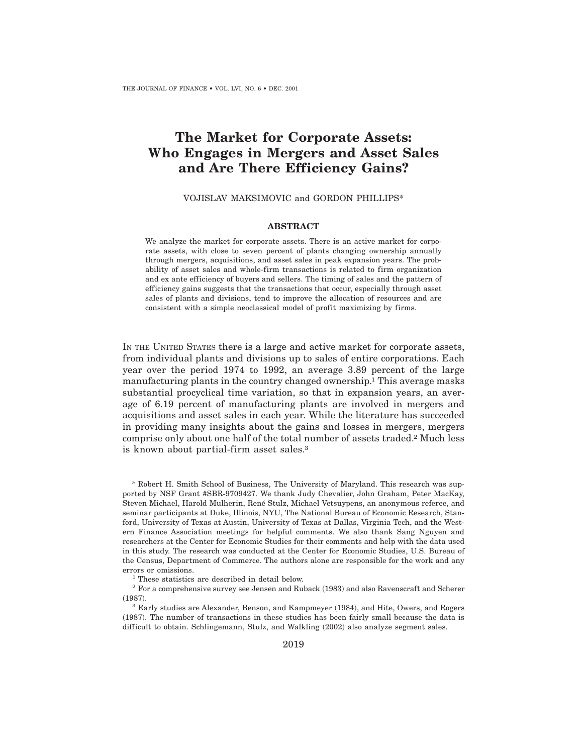# **The Market for Corporate Assets: Who Engages in Mergers and Asset Sales and Are There Efficiency Gains?**

### VOJISLAV MAKSIMOVIC and GORDON PHILLIPS\*

#### **ABSTRACT**

We analyze the market for corporate assets. There is an active market for corporate assets, with close to seven percent of plants changing ownership annually through mergers, acquisitions, and asset sales in peak expansion years. The probability of asset sales and whole-firm transactions is related to firm organization and ex ante efficiency of buyers and sellers. The timing of sales and the pattern of efficiency gains suggests that the transactions that occur, especially through asset sales of plants and divisions, tend to improve the allocation of resources and are consistent with a simple neoclassical model of profit maximizing by firms.

IN THE UNITED STATES there is a large and active market for corporate assets, from individual plants and divisions up to sales of entire corporations. Each year over the period 1974 to 1992, an average 3.89 percent of the large manufacturing plants in the country changed ownership.1 This average masks substantial procyclical time variation, so that in expansion years, an average of 6.19 percent of manufacturing plants are involved in mergers and acquisitions and asset sales in each year. While the literature has succeeded in providing many insights about the gains and losses in mergers, mergers comprise only about one half of the total number of assets traded.2 Much less is known about partial-firm asset sales.3

\* Robert H. Smith School of Business, The University of Maryland. This research was supported by NSF Grant #SBR-9709427. We thank Judy Chevalier, John Graham, Peter MacKay, Steven Michael, Harold Mulherin, René Stulz, Michael Vetsuypens, an anonymous referee, and seminar participants at Duke, Illinois, NYU, The National Bureau of Economic Research, Stanford, University of Texas at Austin, University of Texas at Dallas, Virginia Tech, and the Western Finance Association meetings for helpful comments. We also thank Sang Nguyen and researchers at the Center for Economic Studies for their comments and help with the data used in this study. The research was conducted at the Center for Economic Studies, U.S. Bureau of the Census, Department of Commerce. The authors alone are responsible for the work and any errors or omissions.

<sup>1</sup> These statistics are described in detail below.

 $2$  For a comprehensive survey see Jensen and Ruback (1983) and also Ravenscraft and Scherer  $(1987).$ 

<sup>3</sup> Early studies are Alexander, Benson, and Kampmeyer (1984), and Hite, Owers, and Rogers  $(1987)$ . The number of transactions in these studies has been fairly small because the data is difficult to obtain. Schlingemann, Stulz, and Walkling (2002) also analyze segment sales.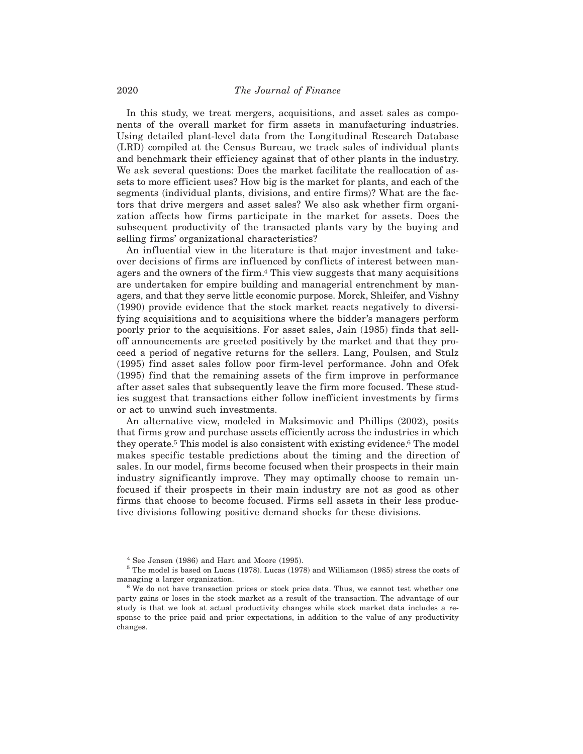In this study, we treat mergers, acquisitions, and asset sales as components of the overall market for firm assets in manufacturing industries. Using detailed plant-level data from the Longitudinal Research Database (LRD) compiled at the Census Bureau, we track sales of individual plants and benchmark their efficiency against that of other plants in the industry. We ask several questions: Does the market facilitate the reallocation of assets to more efficient uses? How big is the market for plants, and each of the segments (individual plants, divisions, and entire firms)? What are the factors that drive mergers and asset sales? We also ask whether firm organization affects how firms participate in the market for assets. Does the subsequent productivity of the transacted plants vary by the buying and selling firms' organizational characteristics?

An influential view in the literature is that major investment and takeover decisions of firms are influenced by conflicts of interest between managers and the owners of the firm.4 This view suggests that many acquisitions are undertaken for empire building and managerial entrenchment by managers, and that they serve little economic purpose. Morck, Shleifer, and Vishny  $(1990)$  provide evidence that the stock market reacts negatively to diversifying acquisitions and to acquisitions where the bidder's managers perform poorly prior to the acquisitions. For asset sales, Jain  $(1985)$  finds that selloff announcements are greeted positively by the market and that they proceed a period of negative returns for the sellers. Lang, Poulsen, and Stulz  $(1995)$  find asset sales follow poor firm-level performance. John and Ofek  $(1995)$  find that the remaining assets of the firm improve in performance after asset sales that subsequently leave the firm more focused. These studies suggest that transactions either follow inefficient investments by firms or act to unwind such investments.

An alternative view, modeled in Maksimovic and Phillips  $(2002)$ , posits that firms grow and purchase assets efficiently across the industries in which they operate.5 This model is also consistent with existing evidence.6 The model makes specific testable predictions about the timing and the direction of sales. In our model, firms become focused when their prospects in their main industry significantly improve. They may optimally choose to remain unfocused if their prospects in their main industry are not as good as other firms that choose to become focused. Firms sell assets in their less productive divisions following positive demand shocks for these divisions.

 $4$  See Jensen  $(1986)$  and Hart and Moore  $(1995)$ .

 $5$  The model is based on Lucas  $(1978)$ . Lucas  $(1978)$  and Williamson  $(1985)$  stress the costs of managing a larger organization.

<sup>&</sup>lt;sup>6</sup> We do not have transaction prices or stock price data. Thus, we cannot test whether one party gains or loses in the stock market as a result of the transaction. The advantage of our study is that we look at actual productivity changes while stock market data includes a response to the price paid and prior expectations, in addition to the value of any productivity changes.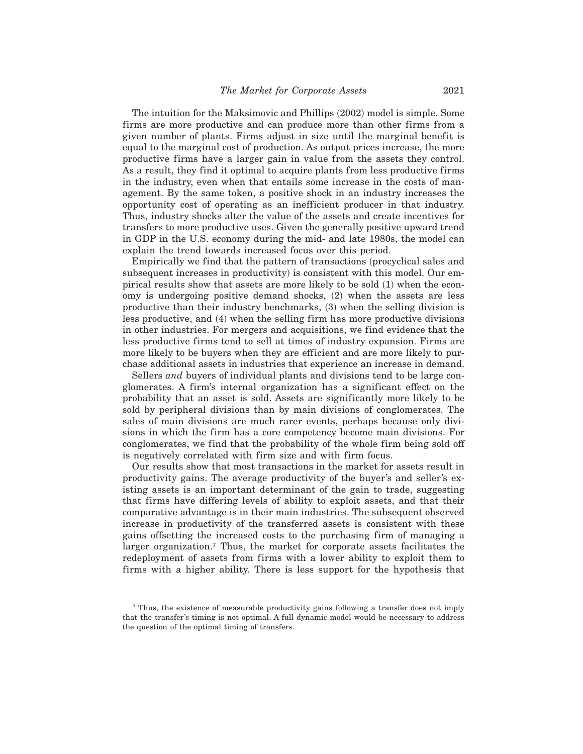The intuition for the Maksimovic and Phillips  $(2002)$  model is simple. Some firms are more productive and can produce more than other firms from a given number of plants. Firms adjust in size until the marginal benefit is equal to the marginal cost of production. As output prices increase, the more productive firms have a larger gain in value from the assets they control. As a result, they find it optimal to acquire plants from less productive firms in the industry, even when that entails some increase in the costs of management. By the same token, a positive shock in an industry increases the opportunity cost of operating as an inefficient producer in that industry. Thus, industry shocks alter the value of the assets and create incentives for transfers to more productive uses. Given the generally positive upward trend in GDP in the U.S. economy during the mid- and late 1980s, the model can explain the trend towards increased focus over this period.

Empirically we find that the pattern of transactions (procyclical sales and subsequent increases in productivity) is consistent with this model. Our empirical results show that assets are more likely to be sold  $(1)$  when the economy is undergoing positive demand shocks,  $(2)$  when the assets are less productive than their industry benchmarks,  $(3)$  when the selling division is less productive, and  $(4)$  when the selling firm has more productive divisions in other industries. For mergers and acquisitions, we find evidence that the less productive firms tend to sell at times of industry expansion. Firms are more likely to be buyers when they are efficient and are more likely to purchase additional assets in industries that experience an increase in demand.

Sellers *and* buyers of individual plants and divisions tend to be large conglomerates. A firm's internal organization has a significant effect on the probability that an asset is sold. Assets are significantly more likely to be sold by peripheral divisions than by main divisions of conglomerates. The sales of main divisions are much rarer events, perhaps because only divisions in which the firm has a core competency become main divisions. For conglomerates, we find that the probability of the whole firm being sold off is negatively correlated with firm size and with firm focus.

Our results show that most transactions in the market for assets result in productivity gains. The average productivity of the buyer's and seller's existing assets is an important determinant of the gain to trade, suggesting that firms have differing levels of ability to exploit assets, and that their comparative advantage is in their main industries. The subsequent observed increase in productivity of the transferred assets is consistent with these gains offsetting the increased costs to the purchasing firm of managing a larger organization.7 Thus, the market for corporate assets facilitates the redeployment of assets from firms with a lower ability to exploit them to firms with a higher ability. There is less support for the hypothesis that

<sup>7</sup> Thus, the existence of measurable productivity gains following a transfer does not imply that the transfer's timing is not optimal. A full dynamic model would be necessary to address the question of the optimal timing of transfers.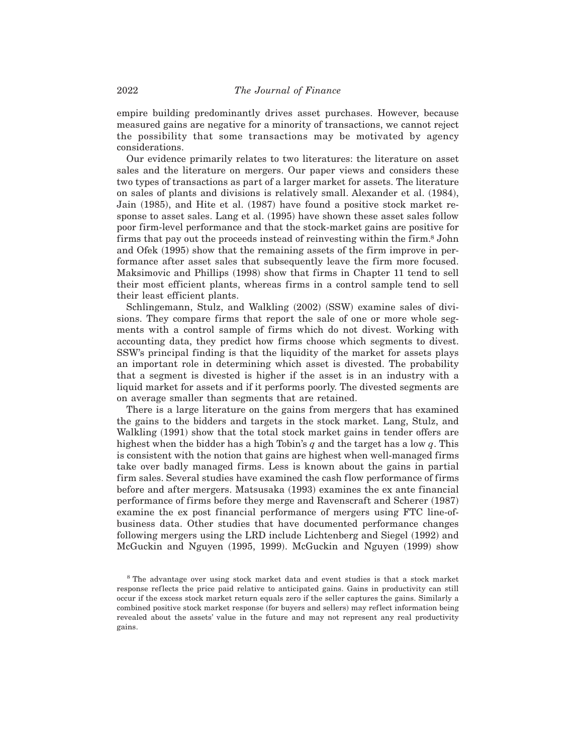empire building predominantly drives asset purchases. However, because measured gains are negative for a minority of transactions, we cannot reject the possibility that some transactions may be motivated by agency considerations.

Our evidence primarily relates to two literatures: the literature on asset sales and the literature on mergers. Our paper views and considers these two types of transactions as part of a larger market for assets. The literature on sales of plants and divisions is relatively small. Alexander et al.  $(1984)$ , Jain  $(1985)$ , and Hite et al.  $(1987)$  have found a positive stock market response to asset sales. Lang et al.  $(1995)$  have shown these asset sales follow poor firm-level performance and that the stock-market gains are positive for firms that pay out the proceeds instead of reinvesting within the firm.8 John and Ofek (1995) show that the remaining assets of the firm improve in performance after asset sales that subsequently leave the firm more focused. Maksimovic and Phillips (1998) show that firms in Chapter 11 tend to sell their most efficient plants, whereas firms in a control sample tend to sell their least efficient plants.

Schlingemann, Stulz, and Walkling  $(2002)$  (SSW) examine sales of divisions. They compare firms that report the sale of one or more whole segments with a control sample of firms which do not divest. Working with accounting data, they predict how firms choose which segments to divest. SSW's principal finding is that the liquidity of the market for assets plays an important role in determining which asset is divested. The probability that a segment is divested is higher if the asset is in an industry with a liquid market for assets and if it performs poorly. The divested segments are on average smaller than segments that are retained.

There is a large literature on the gains from mergers that has examined the gains to the bidders and targets in the stock market. Lang, Stulz, and Walkling (1991) show that the total stock market gains in tender offers are highest when the bidder has a high Tobin's *q* and the target has a low *q*. This is consistent with the notion that gains are highest when well-managed firms take over badly managed firms. Less is known about the gains in partial firm sales. Several studies have examined the cash flow performance of firms before and after mergers. Matsusaka (1993) examines the ex ante financial performance of firms before they merge and Ravenscraft and Scherer (1987) examine the ex post financial performance of mergers using FTC line-ofbusiness data. Other studies that have documented performance changes following mergers using the LRD include Lichtenberg and Siegel (1992) and McGuckin and Nguyen (1995, 1999). McGuckin and Nguyen (1999) show

<sup>&</sup>lt;sup>8</sup> The advantage over using stock market data and event studies is that a stock market response reflects the price paid relative to anticipated gains. Gains in productivity can still occur if the excess stock market return equals zero if the seller captures the gains. Similarly a combined positive stock market response (for buyers and sellers) may reflect information being revealed about the assets' value in the future and may not represent any real productivity gains.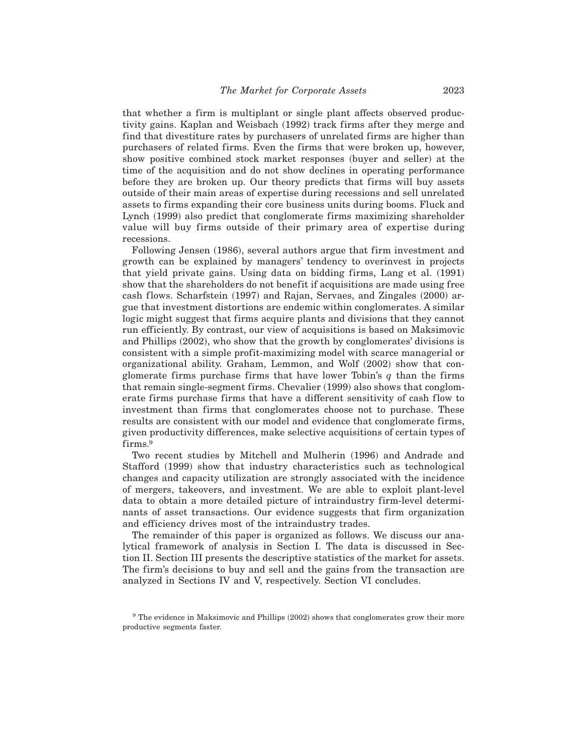that whether a firm is multiplant or single plant affects observed productivity gains. Kaplan and Weisbach (1992) track firms after they merge and find that divestiture rates by purchasers of unrelated firms are higher than purchasers of related firms. Even the firms that were broken up, however, show positive combined stock market responses (buyer and seller) at the time of the acquisition and do not show declines in operating performance before they are broken up. Our theory predicts that firms will buy assets outside of their main areas of expertise during recessions and sell unrelated assets to firms expanding their core business units during booms. Fluck and Lynch (1999) also predict that conglomerate firms maximizing shareholder value will buy firms outside of their primary area of expertise during recessions.

Following Jensen (1986), several authors argue that firm investment and growth can be explained by managers' tendency to overinvest in projects that yield private gains. Using data on bidding firms, Lang et al.  $(1991)$ show that the shareholders do not benefit if acquisitions are made using free cash flows. Scharfstein  $(1997)$  and Rajan, Servaes, and Zingales  $(2000)$  argue that investment distortions are endemic within conglomerates. A similar logic might suggest that firms acquire plants and divisions that they cannot run efficiently. By contrast, our view of acquisitions is based on Maksimovic and Phillips  $(2002)$ , who show that the growth by conglomerates' divisions is consistent with a simple profit-maximizing model with scarce managerial or organizational ability. Graham, Lemmon, and Wolf  $(2002)$  show that conglomerate firms purchase firms that have lower Tobin's *q* than the firms that remain single-segment firms. Chevalier (1999) also shows that conglomerate firms purchase firms that have a different sensitivity of cash flow to investment than firms that conglomerates choose not to purchase. These results are consistent with our model and evidence that conglomerate firms, given productivity differences, make selective acquisitions of certain types of firms.<sup>9</sup>

Two recent studies by Mitchell and Mulherin (1996) and Andrade and Stafford (1999) show that industry characteristics such as technological changes and capacity utilization are strongly associated with the incidence of mergers, takeovers, and investment. We are able to exploit plant-level data to obtain a more detailed picture of intraindustry firm-level determinants of asset transactions. Our evidence suggests that firm organization and efficiency drives most of the intraindustry trades.

The remainder of this paper is organized as follows. We discuss our analytical framework of analysis in Section I. The data is discussed in Section II. Section III presents the descriptive statistics of the market for assets. The firm's decisions to buy and sell and the gains from the transaction are analyzed in Sections IV and V, respectively. Section VI concludes.

 $9$  The evidence in Maksimovic and Phillips  $(2002)$  shows that conglomerates grow their more productive segments faster.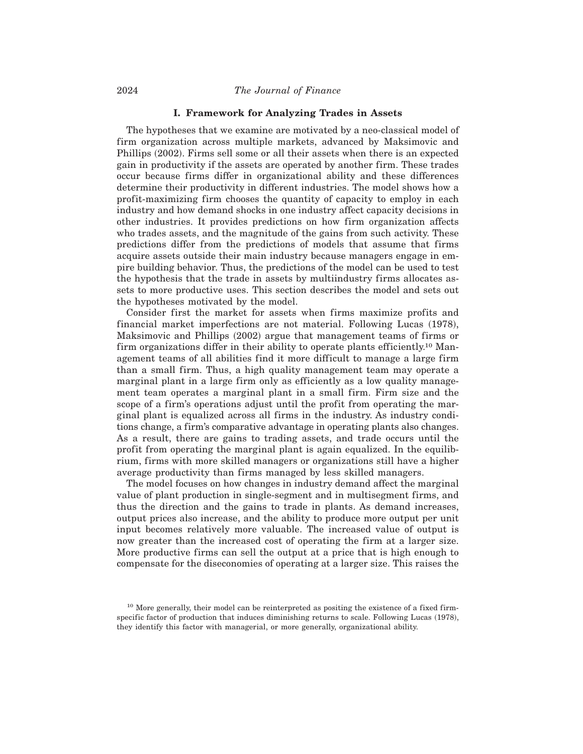## **I. Framework for Analyzing Trades in Assets**

The hypotheses that we examine are motivated by a neo-classical model of firm organization across multiple markets, advanced by Maksimovic and Phillips  $(2002)$ . Firms sell some or all their assets when there is an expected gain in productivity if the assets are operated by another firm. These trades occur because firms differ in organizational ability and these differences determine their productivity in different industries. The model shows how a profit-maximizing firm chooses the quantity of capacity to employ in each industry and how demand shocks in one industry affect capacity decisions in other industries. It provides predictions on how firm organization affects who trades assets, and the magnitude of the gains from such activity. These predictions differ from the predictions of models that assume that firms acquire assets outside their main industry because managers engage in empire building behavior. Thus, the predictions of the model can be used to test the hypothesis that the trade in assets by multiindustry firms allocates assets to more productive uses. This section describes the model and sets out the hypotheses motivated by the model.

Consider first the market for assets when firms maximize profits and financial market imperfections are not material. Following Lucas  $(1978)$ , Maksimovic and Phillips (2002) argue that management teams of firms or firm organizations differ in their ability to operate plants efficiently.10 Management teams of all abilities find it more difficult to manage a large firm than a small firm. Thus, a high quality management team may operate a marginal plant in a large firm only as efficiently as a low quality management team operates a marginal plant in a small firm. Firm size and the scope of a firm's operations adjust until the profit from operating the marginal plant is equalized across all firms in the industry. As industry conditions change, a firm's comparative advantage in operating plants also changes. As a result, there are gains to trading assets, and trade occurs until the profit from operating the marginal plant is again equalized. In the equilibrium, firms with more skilled managers or organizations still have a higher average productivity than firms managed by less skilled managers.

The model focuses on how changes in industry demand affect the marginal value of plant production in single-segment and in multisegment firms, and thus the direction and the gains to trade in plants. As demand increases, output prices also increase, and the ability to produce more output per unit input becomes relatively more valuable. The increased value of output is now greater than the increased cost of operating the firm at a larger size. More productive firms can sell the output at a price that is high enough to compensate for the diseconomies of operating at a larger size. This raises the

 $10$  More generally, their model can be reinterpreted as positing the existence of a fixed firmspecific factor of production that induces diminishing returns to scale. Following Lucas (1978), they identify this factor with managerial, or more generally, organizational ability.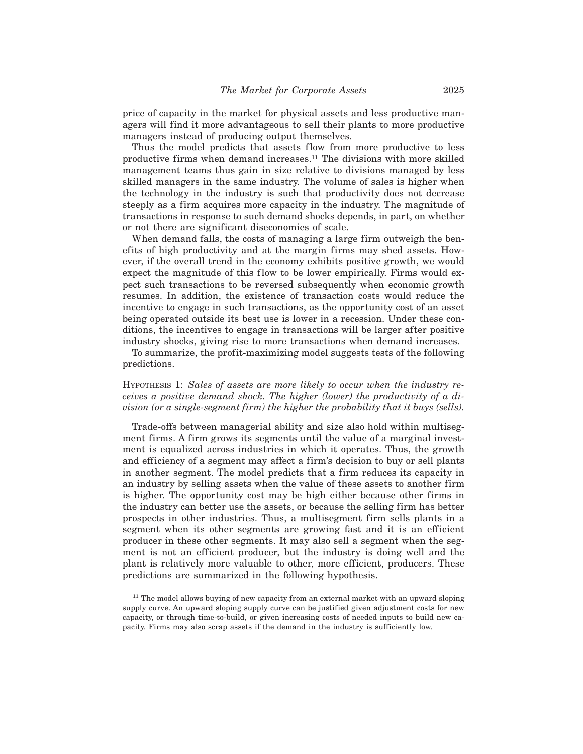price of capacity in the market for physical assets and less productive managers will find it more advantageous to sell their plants to more productive managers instead of producing output themselves.

Thus the model predicts that assets flow from more productive to less productive firms when demand increases.11 The divisions with more skilled management teams thus gain in size relative to divisions managed by less skilled managers in the same industry. The volume of sales is higher when the technology in the industry is such that productivity does not decrease steeply as a firm acquires more capacity in the industry. The magnitude of transactions in response to such demand shocks depends, in part, on whether or not there are significant diseconomies of scale.

When demand falls, the costs of managing a large firm outweigh the benefits of high productivity and at the margin firms may shed assets. However, if the overall trend in the economy exhibits positive growth, we would expect the magnitude of this flow to be lower empirically. Firms would expect such transactions to be reversed subsequently when economic growth resumes. In addition, the existence of transaction costs would reduce the incentive to engage in such transactions, as the opportunity cost of an asset being operated outside its best use is lower in a recession. Under these conditions, the incentives to engage in transactions will be larger after positive industry shocks, giving rise to more transactions when demand increases.

To summarize, the profit-maximizing model suggests tests of the following predictions.

HYPOTHESIS 1: *Sales of assets are more likely to occur when the industry receives a positive demand shock. The higher (lower) the productivity of a division (or a single-segment firm) the higher the probability that it buys (sells).*

Trade-offs between managerial ability and size also hold within multisegment firms. A firm grows its segments until the value of a marginal investment is equalized across industries in which it operates. Thus, the growth and efficiency of a segment may affect a firm's decision to buy or sell plants in another segment. The model predicts that a firm reduces its capacity in an industry by selling assets when the value of these assets to another firm is higher. The opportunity cost may be high either because other firms in the industry can better use the assets, or because the selling firm has better prospects in other industries. Thus, a multisegment firm sells plants in a segment when its other segments are growing fast and it is an efficient producer in these other segments. It may also sell a segment when the segment is not an efficient producer, but the industry is doing well and the plant is relatively more valuable to other, more efficient, producers. These predictions are summarized in the following hypothesis.

 $11$  The model allows buying of new capacity from an external market with an upward sloping supply curve. An upward sloping supply curve can be justified given adjustment costs for new capacity, or through time-to-build, or given increasing costs of needed inputs to build new capacity. Firms may also scrap assets if the demand in the industry is sufficiently low.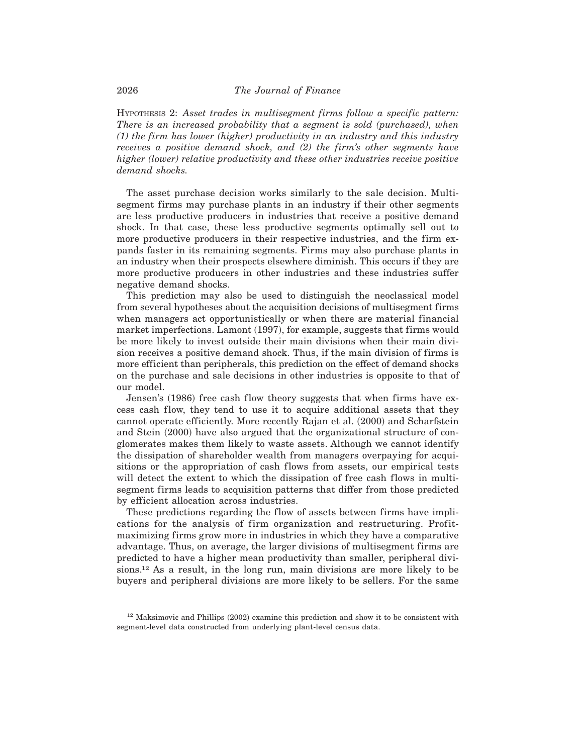HYPOTHESIS 2: *Asset trades in multisegment firms follow a specific pattern: There is an increased probability that a segment is sold (purchased), when (1) the firm has lower (higher) productivity in an industry and this industry receives a positive demand shock, and (2) the firm's other segments have higher (lower) relative productivity and these other industries receive positive demand shocks.*

The asset purchase decision works similarly to the sale decision. Multisegment firms may purchase plants in an industry if their other segments are less productive producers in industries that receive a positive demand shock. In that case, these less productive segments optimally sell out to more productive producers in their respective industries, and the firm expands faster in its remaining segments. Firms may also purchase plants in an industry when their prospects elsewhere diminish. This occurs if they are more productive producers in other industries and these industries suffer negative demand shocks.

This prediction may also be used to distinguish the neoclassical model from several hypotheses about the acquisition decisions of multisegment firms when managers act opportunistically or when there are material financial market imperfections. Lamont  $(1997)$ , for example, suggests that firms would be more likely to invest outside their main divisions when their main division receives a positive demand shock. Thus, if the main division of firms is more efficient than peripherals, this prediction on the effect of demand shocks on the purchase and sale decisions in other industries is opposite to that of our model.

Jensen's (1986) free cash flow theory suggests that when firms have excess cash flow, they tend to use it to acquire additional assets that they cannot operate efficiently. More recently Rajan et al.  $(2000)$  and Scharfstein and Stein (2000) have also argued that the organizational structure of conglomerates makes them likely to waste assets. Although we cannot identify the dissipation of shareholder wealth from managers overpaying for acquisitions or the appropriation of cash flows from assets, our empirical tests will detect the extent to which the dissipation of free cash flows in multisegment firms leads to acquisition patterns that differ from those predicted by efficient allocation across industries.

These predictions regarding the flow of assets between firms have implications for the analysis of firm organization and restructuring. Profitmaximizing firms grow more in industries in which they have a comparative advantage. Thus, on average, the larger divisions of multisegment firms are predicted to have a higher mean productivity than smaller, peripheral divisions.12 As a result, in the long run, main divisions are more likely to be buyers and peripheral divisions are more likely to be sellers. For the same

 $12$  Maksimovic and Phillips  $(2002)$  examine this prediction and show it to be consistent with segment-level data constructed from underlying plant-level census data.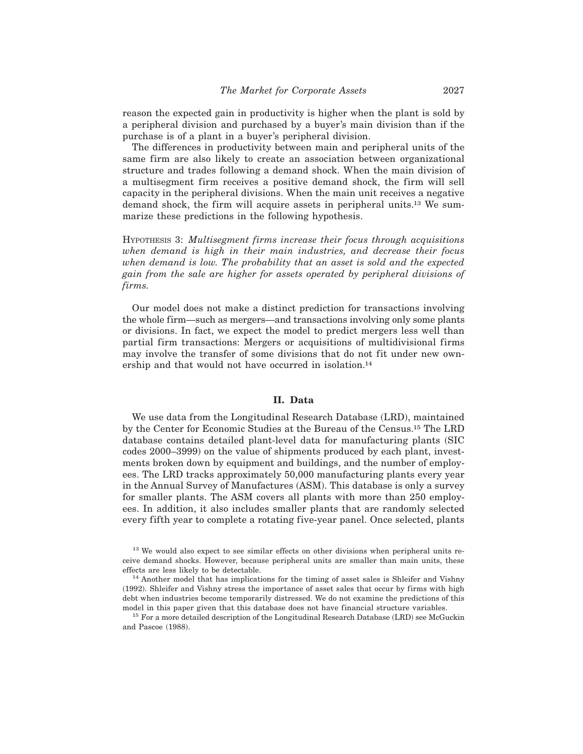reason the expected gain in productivity is higher when the plant is sold by a peripheral division and purchased by a buyer's main division than if the purchase is of a plant in a buyer's peripheral division.

The differences in productivity between main and peripheral units of the same firm are also likely to create an association between organizational structure and trades following a demand shock. When the main division of a multisegment firm receives a positive demand shock, the firm will sell capacity in the peripheral divisions. When the main unit receives a negative demand shock, the firm will acquire assets in peripheral units.13 We summarize these predictions in the following hypothesis.

HYPOTHESIS 3: *Multisegment firms increase their focus through acquisitions when demand is high in their main industries, and decrease their focus when demand is low. The probability that an asset is sold and the expected gain from the sale are higher for assets operated by peripheral divisions of firms.*

Our model does not make a distinct prediction for transactions involving the whole firm—such as mergers—and transactions involving only some plants or divisions. In fact, we expect the model to predict mergers less well than partial firm transactions: Mergers or acquisitions of multidivisional firms may involve the transfer of some divisions that do not fit under new ownership and that would not have occurred in isolation.14

# **II. Data**

We use data from the Longitudinal Research Database (LRD), maintained by the Center for Economic Studies at the Bureau of the Census.15 The LRD database contains detailed plant-level data for manufacturing plants (SIC codes 2000–3999) on the value of shipments produced by each plant, investments broken down by equipment and buildings, and the number of employees. The LRD tracks approximately 50,000 manufacturing plants every year in the Annual Survey of Manufactures (ASM). This database is only a survey for smaller plants. The ASM covers all plants with more than 250 employees. In addition, it also includes smaller plants that are randomly selected every fifth year to complete a rotating five-year panel. Once selected, plants

<sup>&</sup>lt;sup>13</sup> We would also expect to see similar effects on other divisions when peripheral units receive demand shocks. However, because peripheral units are smaller than main units, these effects are less likely to be detectable.

<sup>&</sup>lt;sup>14</sup> Another model that has implications for the timing of asset sales is Shleifer and Vishny (1992). Shleifer and Vishny stress the importance of asset sales that occur by firms with high debt when industries become temporarily distressed. We do not examine the predictions of this model in this paper given that this database does not have financial structure variables.

<sup>&</sup>lt;sup>15</sup> For a more detailed description of the Longitudinal Research Database  $(LRD)$  see McGuckin and Pascoe  $(1988)$ .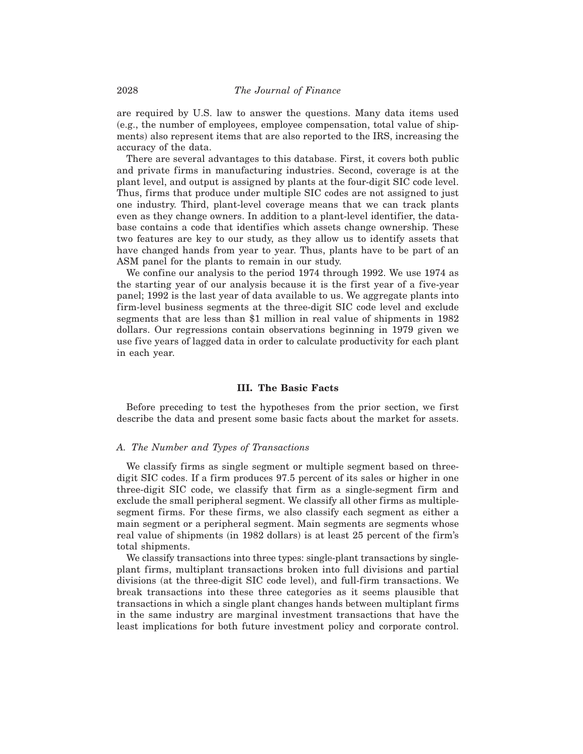are required by U.S. law to answer the questions. Many data items used  $(e.g., the number of employees, employee compensation, total value of ship$ ments) also represent items that are also reported to the IRS, increasing the accuracy of the data.

There are several advantages to this database. First, it covers both public and private firms in manufacturing industries. Second, coverage is at the plant level, and output is assigned by plants at the four-digit SIC code level. Thus, firms that produce under multiple SIC codes are not assigned to just one industry. Third, plant-level coverage means that we can track plants even as they change owners. In addition to a plant-level identifier, the database contains a code that identifies which assets change ownership. These two features are key to our study, as they allow us to identify assets that have changed hands from year to year. Thus, plants have to be part of an ASM panel for the plants to remain in our study.

We confine our analysis to the period 1974 through 1992. We use 1974 as the starting year of our analysis because it is the first year of a five-year panel; 1992 is the last year of data available to us. We aggregate plants into firm-level business segments at the three-digit SIC code level and exclude segments that are less than \$1 million in real value of shipments in 1982 dollars. Our regressions contain observations beginning in 1979 given we use five years of lagged data in order to calculate productivity for each plant in each year.

#### **III. The Basic Facts**

Before preceding to test the hypotheses from the prior section, we first describe the data and present some basic facts about the market for assets.

#### *A. The Number and Types of Transactions*

We classify firms as single segment or multiple segment based on threedigit SIC codes. If a firm produces 97.5 percent of its sales or higher in one three-digit SIC code, we classify that firm as a single-segment firm and exclude the small peripheral segment. We classify all other firms as multiplesegment firms. For these firms, we also classify each segment as either a main segment or a peripheral segment. Main segments are segments whose real value of shipments (in 1982 dollars) is at least 25 percent of the firm's total shipments.

We classify transactions into three types: single-plant transactions by singleplant firms, multiplant transactions broken into full divisions and partial divisions (at the three-digit SIC code level), and full-firm transactions. We break transactions into these three categories as it seems plausible that transactions in which a single plant changes hands between multiplant firms in the same industry are marginal investment transactions that have the least implications for both future investment policy and corporate control.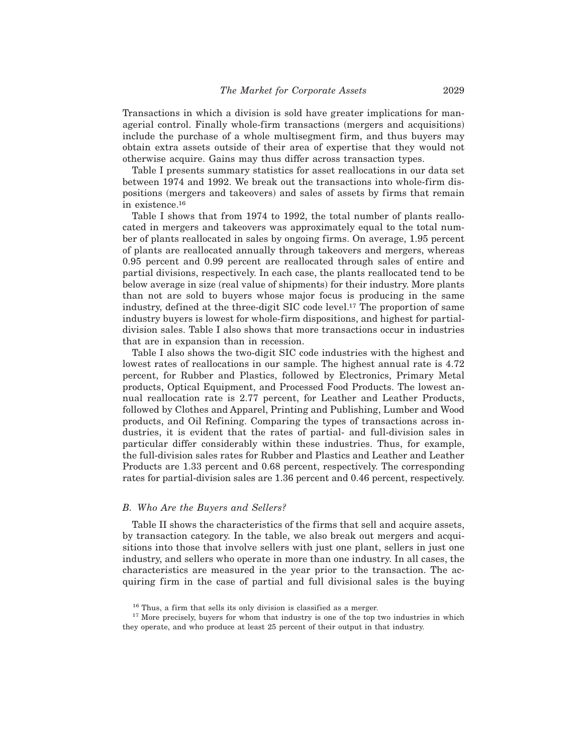Transactions in which a division is sold have greater implications for managerial control. Finally whole-firm transactions (mergers and acquisitions) include the purchase of a whole multisegment firm, and thus buyers may obtain extra assets outside of their area of expertise that they would not otherwise acquire. Gains may thus differ across transaction types.

Table I presents summary statistics for asset reallocations in our data set between 1974 and 1992. We break out the transactions into whole-firm dispositions (mergers and takeovers) and sales of assets by firms that remain in existence.16

Table I shows that from 1974 to 1992, the total number of plants reallocated in mergers and takeovers was approximately equal to the total number of plants reallocated in sales by ongoing firms. On average, 1.95 percent of plants are reallocated annually through takeovers and mergers, whereas 0.95 percent and 0.99 percent are reallocated through sales of entire and partial divisions, respectively. In each case, the plants reallocated tend to be below average in size (real value of shipments) for their industry. More plants than not are sold to buyers whose major focus is producing in the same industry, defined at the three-digit SIC code level.17 The proportion of same industry buyers is lowest for whole-firm dispositions, and highest for partialdivision sales. Table I also shows that more transactions occur in industries that are in expansion than in recession.

Table I also shows the two-digit SIC code industries with the highest and lowest rates of reallocations in our sample. The highest annual rate is 4.72 percent, for Rubber and Plastics, followed by Electronics, Primary Metal products, Optical Equipment, and Processed Food Products. The lowest annual reallocation rate is 2.77 percent, for Leather and Leather Products, followed by Clothes and Apparel, Printing and Publishing, Lumber and Wood products, and Oil Refining. Comparing the types of transactions across industries, it is evident that the rates of partial- and full-division sales in particular differ considerably within these industries. Thus, for example, the full-division sales rates for Rubber and Plastics and Leather and Leather Products are 1.33 percent and 0.68 percent, respectively. The corresponding rates for partial-division sales are 1.36 percent and 0.46 percent, respectively.

### *B. Who Are the Buyers and Sellers?*

Table II shows the characteristics of the firms that sell and acquire assets, by transaction category. In the table, we also break out mergers and acquisitions into those that involve sellers with just one plant, sellers in just one industry, and sellers who operate in more than one industry. In all cases, the characteristics are measured in the year prior to the transaction. The acquiring firm in the case of partial and full divisional sales is the buying

<sup>&</sup>lt;sup>16</sup> Thus, a firm that sells its only division is classified as a merger.

 $17$  More precisely, buyers for whom that industry is one of the top two industries in which they operate, and who produce at least 25 percent of their output in that industry.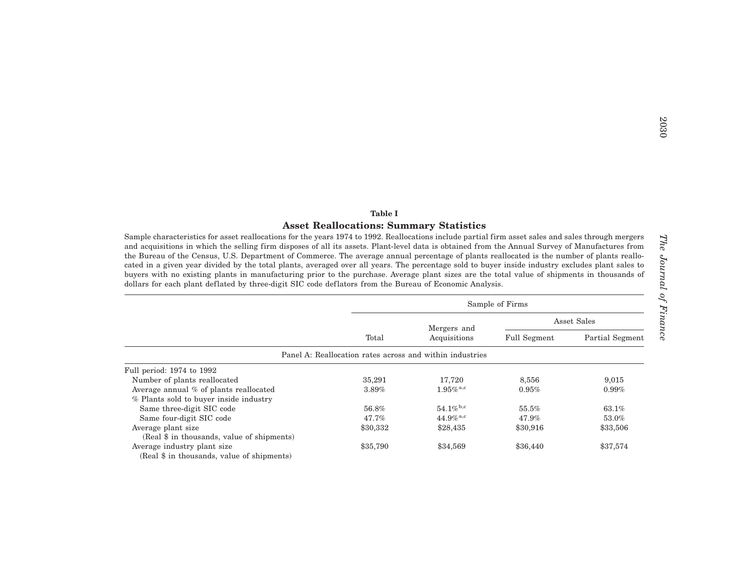### **Table I**

### **Asset Reallocations: Summary Statistics**

Sample characteristics for asset reallocations for the years 1974 to 1992. Reallocations include partial firm asset sales and sales through mergers and acquisitions in which the selling firm disposes of all its assets. Plant-level data is obtained from the Annual Survey of Manufactures from the Bureau of the Census, U.S. Department of Commerce. The average annual percentage of plants reallocated is the number of plants reallocated in <sup>a</sup> given year divided by the total plants, averaged over all years. The percentage sold to buyer inside industry excludes plant sales to buyers with no existing plants in manufacturing prior to the purchase. Average plant sizes are the total value of shipments in thousands of dollars for each plant deflated by three-digit SIC code deflators from the Bureau of Economic Analysis.

|                                            |          | Sample of Firms                                          |                     |                 |  |
|--------------------------------------------|----------|----------------------------------------------------------|---------------------|-----------------|--|
|                                            |          | Mergers and<br>Acquisitions<br>Total                     |                     | Asset Sales     |  |
|                                            |          |                                                          | <b>Full Segment</b> | Partial Segment |  |
|                                            |          | Panel A: Reallocation rates across and within industries |                     |                 |  |
| Full period: 1974 to 1992                  |          |                                                          |                     |                 |  |
| Number of plants reallocated               | 35,291   | 17,720                                                   | 8,556               | 9,015           |  |
| Average annual % of plants reallocated     | $3.89\%$ | $1.95\%$ <sup>a,c</sup>                                  | $0.95\%$            | 0.99%           |  |
| % Plants sold to buyer inside industry     |          |                                                          |                     |                 |  |
| Same three-digit SIC code                  | 56.8%    | $54.1\%$ <sup>b,c</sup>                                  | 55.5%               | 63.1%           |  |
| Same four-digit SIC code                   | 47.7%    | $44.9\%$ <sup>a,c</sup>                                  | 47.9%               | 53.0%           |  |
| Average plant size                         | \$30,332 | \$28,435                                                 | \$30,916            | \$33,506        |  |
| (Real \$ in thousands, value of shipments) |          |                                                          |                     |                 |  |
| Average industry plant size                | \$35,790 | \$34,569                                                 | \$36,440            | \$37,574        |  |
| (Real \$ in thousands, value of shipments) |          |                                                          |                     |                 |  |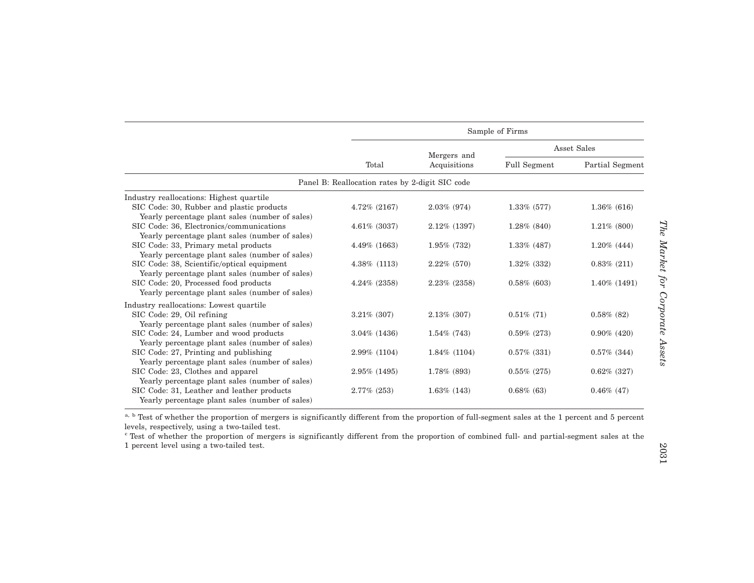|                                                                                               |                                                 | Sample of Firms |                |                 |  |
|-----------------------------------------------------------------------------------------------|-------------------------------------------------|-----------------|----------------|-----------------|--|
|                                                                                               |                                                 | Mergers and     |                | Asset Sales     |  |
|                                                                                               | Total                                           | Acquisitions    | Full Segment   | Partial Segment |  |
|                                                                                               | Panel B: Reallocation rates by 2-digit SIC code |                 |                |                 |  |
| Industry reallocations: Highest quartile                                                      |                                                 |                 |                |                 |  |
| SIC Code: 30, Rubber and plastic products                                                     | $4.72\%$ (2167)                                 | $2.03\%$ (974)  | $1.33\%$ (577) | $1.36\%$ (616)  |  |
| Yearly percentage plant sales (number of sales)                                               |                                                 |                 |                |                 |  |
| SIC Code: 36, Electronics/communications                                                      | 4.61% (3037)                                    | 2.12% (1397)    | $1.28\%$ (840) | $1.21\%$ (800)  |  |
| Yearly percentage plant sales (number of sales)                                               |                                                 |                 |                |                 |  |
| SIC Code: 33, Primary metal products                                                          | 4.49% (1663)                                    | $1.95\%$ (732)  | $1.33\%$ (487) | $1.20\%$ (444)  |  |
| Yearly percentage plant sales (number of sales)                                               |                                                 |                 |                |                 |  |
| SIC Code: 38, Scientific/optical equipment                                                    | $4.38\%$ (1113)                                 | $2.22\%$ (570)  | $1.32\%$ (332) | $0.83\%$ (211)  |  |
| Yearly percentage plant sales (number of sales)                                               |                                                 |                 |                |                 |  |
| SIC Code: 20, Processed food products                                                         | 4.24% (2358)                                    | 2.23% (2358)    | $0.58\%$ (603) | $1.40\%$ (1491) |  |
| Yearly percentage plant sales (number of sales)                                               |                                                 |                 |                |                 |  |
| Industry reallocations: Lowest quartile                                                       |                                                 |                 |                |                 |  |
| SIC Code: 29, Oil refining                                                                    | $3.21\%$ (307)                                  | $2.13\%$ (307)  | $0.51\%$ (71)  | $0.58\%$ (82)   |  |
| Yearly percentage plant sales (number of sales)                                               |                                                 |                 |                |                 |  |
| SIC Code: 24, Lumber and wood products                                                        | $3.04\%$ (1436)                                 | $1.54\%$ (743)  | $0.59\%$ (273) | $0.90\%$ (420)  |  |
| Yearly percentage plant sales (number of sales)                                               |                                                 |                 |                |                 |  |
| SIC Code: 27, Printing and publishing                                                         | $2.99\%$ (1104)                                 | $1.84\%$ (1104) | $0.57\%$ (331) | $0.57\%$ (344)  |  |
| Yearly percentage plant sales (number of sales)                                               |                                                 |                 |                |                 |  |
| SIC Code: 23, Clothes and apparel                                                             | $2.95\%$ (1495)                                 | 1.78% (893)     | $0.55\%$ (275) | $0.62\%$ (327)  |  |
| Yearly percentage plant sales (number of sales)                                               |                                                 |                 |                |                 |  |
| SIC Code: 31, Leather and leather products<br>Yearly percentage plant sales (number of sales) | $2.77\%$ (253)                                  | $1.63\%$ (143)  | $0.68\%$ (63)  | $0.46\%$ (47)   |  |
|                                                                                               |                                                 |                 |                |                 |  |

a, b Test of whether the proportion of mergers is significantly different from the proportion of full-segment sales at the 1 percent and 5 percent levels, respectively, using <sup>a</sup> two-tailed test.

c Test of whether the proportion of mergers is significantly different from the proportion of combined full- and partial-segment sales at the 1 percent level using <sup>a</sup> two-tailed test.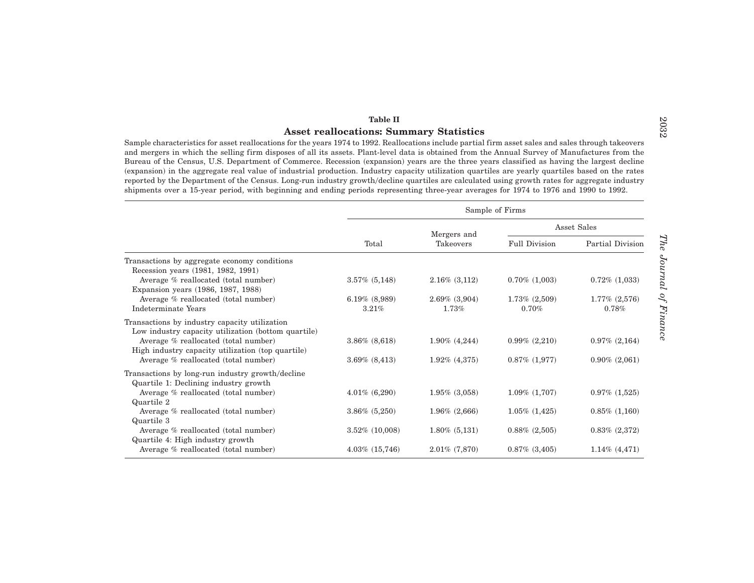# **Table IIAsset reallocations: Summary Statistics**

Sample characteristics for asset reallocations for the years 1974 to 1992. Reallocations include partial firm asset sales and sales through takeovers and mergers in which the selling firm disposes of all its assets. Plant-level data is obtained from the Annual Survey of Manufactures from the Bureau of the Census, U.S. Department of Commerce. Recession (expansion) years are the three years classified as having the largest decline ~expansion! in the aggregate real value of industrial production. Industry capacity utilization quartiles are yearly quartiles based on the rates reported by the Department of the Census. Long-run industry growth/decline quartiles are calculated using growth rates for aggregate industry shipments over <sup>a</sup> 15-year period, with beginning and ending periods representing three-year averages for 1974 to 1976 and 1990 to 1992.

|                                                                                           | Sample of Firms     |                    |                      |                    |
|-------------------------------------------------------------------------------------------|---------------------|--------------------|----------------------|--------------------|
|                                                                                           |                     | Mergers and        |                      | Asset Sales        |
|                                                                                           | Total               | <b>Takeovers</b>   | <b>Full Division</b> | Partial Division   |
| Transactions by aggregate economy conditions                                              |                     |                    |                      |                    |
| Recession years (1981, 1982, 1991)                                                        |                     |                    |                      |                    |
| Average % reallocated (total number)                                                      | $3.57\%$ (5,148)    | $2.16\%$ $(3,112)$ | $0.70\%$ $(1,003)$   | $0.72\%$ $(1,033)$ |
| Expansion years (1986, 1987, 1988)                                                        |                     |                    |                      |                    |
| Average % reallocated (total number)                                                      | $6.19\%$ $(8,989)$  | $2.69\%$ $(3.904)$ | $1.73\%$ $(2.509)$   | $1.77\%$ $(2,576)$ |
| Indeterminate Years                                                                       | 3.21%               | 1.73%              | 0.70%                | 0.78%              |
| Transactions by industry capacity utilization                                             |                     |                    |                      |                    |
| Low industry capacity utilization (bottom quartile)                                       |                     |                    |                      |                    |
| Average % reallocated (total number)                                                      | $3.86\%$ $(8.618)$  | $1.90\%$ $(4,244)$ | $0.99\%$ $(2,210)$   | $0.97\%$ $(2,164)$ |
| High industry capacity utilization (top quartile)                                         |                     |                    |                      |                    |
| Average % reallocated (total number)                                                      | $3.69\%$ $(8,413)$  | $1.92\%$ $(4.375)$ | $0.87\%$ $(1,977)$   | $0.90\%$ $(2,061)$ |
|                                                                                           |                     |                    |                      |                    |
| Transactions by long-run industry growth/decline<br>Quartile 1: Declining industry growth |                     |                    |                      |                    |
| Average % reallocated (total number)                                                      | $4.01\%$ $(6,290)$  | $1.95\%$ $(3,058)$ | $1.09\%$ $(1,707)$   | $0.97\%$ $(1,525)$ |
| Quartile 2                                                                                |                     |                    |                      |                    |
| Average % reallocated (total number)                                                      | $3.86\%$ $(5,250)$  | $1.96\%$ $(2,666)$ | $1.05\%$ $(1,425)$   | $0.85\%$ $(1,160)$ |
|                                                                                           |                     |                    |                      |                    |
| Quartile 3                                                                                |                     |                    |                      |                    |
| Average % reallocated (total number)                                                      | $3.52\%$ (10,008)   | $1.80\%$ (5,131)   | $0.88\%$ $(2,505)$   | $0.83\%$ $(2,372)$ |
| Quartile 4: High industry growth                                                          |                     |                    |                      |                    |
| Average % reallocated (total number)                                                      | $4.03\%$ $(15,746)$ | $2.01\%$ $(7,870)$ | $0.87\%$ $(3,405)$   | $1.14\%$ $(4.471)$ |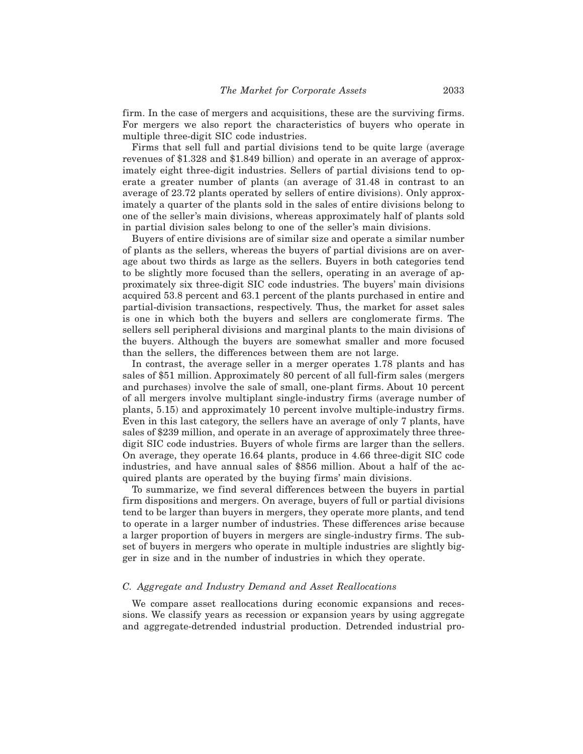firm. In the case of mergers and acquisitions, these are the surviving firms. For mergers we also report the characteristics of buyers who operate in multiple three-digit SIC code industries.

Firms that sell full and partial divisions tend to be quite large (average) revenues of \$1.328 and \$1.849 billion) and operate in an average of approximately eight three-digit industries. Sellers of partial divisions tend to operate a greater number of plants (an average of  $31.48$  in contrast to an average of 23.72 plants operated by sellers of entire divisions). Only approximately a quarter of the plants sold in the sales of entire divisions belong to one of the seller's main divisions, whereas approximately half of plants sold in partial division sales belong to one of the seller's main divisions.

Buyers of entire divisions are of similar size and operate a similar number of plants as the sellers, whereas the buyers of partial divisions are on average about two thirds as large as the sellers. Buyers in both categories tend to be slightly more focused than the sellers, operating in an average of approximately six three-digit SIC code industries. The buyers' main divisions acquired 53.8 percent and 63.1 percent of the plants purchased in entire and partial-division transactions, respectively. Thus, the market for asset sales is one in which both the buyers and sellers are conglomerate firms. The sellers sell peripheral divisions and marginal plants to the main divisions of the buyers. Although the buyers are somewhat smaller and more focused than the sellers, the differences between them are not large.

In contrast, the average seller in a merger operates 1.78 plants and has sales of \$51 million. Approximately 80 percent of all full-firm sales (mergers and purchases) involve the sale of small, one-plant firms. About 10 percent of all mergers involve multiplant single-industry firms (average number of plants, 5.15) and approximately 10 percent involve multiple-industry firms. Even in this last category, the sellers have an average of only 7 plants, have sales of \$239 million, and operate in an average of approximately three threedigit SIC code industries. Buyers of whole firms are larger than the sellers. On average, they operate 16.64 plants, produce in 4.66 three-digit SIC code industries, and have annual sales of \$856 million. About a half of the acquired plants are operated by the buying firms' main divisions.

To summarize, we find several differences between the buyers in partial firm dispositions and mergers. On average, buyers of full or partial divisions tend to be larger than buyers in mergers, they operate more plants, and tend to operate in a larger number of industries. These differences arise because a larger proportion of buyers in mergers are single-industry firms. The subset of buyers in mergers who operate in multiple industries are slightly bigger in size and in the number of industries in which they operate.

### *C. Aggregate and Industry Demand and Asset Reallocations*

We compare asset reallocations during economic expansions and recessions. We classify years as recession or expansion years by using aggregate and aggregate-detrended industrial production. Detrended industrial pro-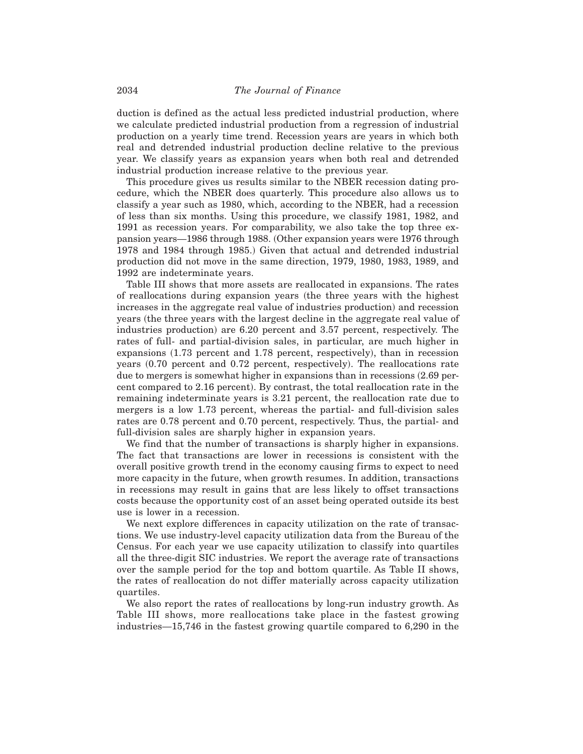duction is defined as the actual less predicted industrial production, where we calculate predicted industrial production from a regression of industrial production on a yearly time trend. Recession years are years in which both real and detrended industrial production decline relative to the previous year. We classify years as expansion years when both real and detrended industrial production increase relative to the previous year.

This procedure gives us results similar to the NBER recession dating procedure, which the NBER does quarterly. This procedure also allows us to classify a year such as 1980, which, according to the NBER, had a recession of less than six months. Using this procedure, we classify 1981, 1982, and 1991 as recession years. For comparability, we also take the top three expansion years—1986 through 1988. (Other expansion years were 1976 through 1978 and 1984 through 1985.) Given that actual and detrended industrial production did not move in the same direction, 1979, 1980, 1983, 1989, and 1992 are indeterminate years.

Table III shows that more assets are reallocated in expansions. The rates of reallocations during expansion years (the three years with the highest increases in the aggregate real value of industries production) and recession years (the three years with the largest decline in the aggregate real value of industries production) are 6.20 percent and 3.57 percent, respectively. The rates of full- and partial-division sales, in particular, are much higher in expansions  $(1.73$  percent and  $1.78$  percent, respectively), than in recession years  $(0.70$  percent and  $0.72$  percent, respectively). The reallocations rate due to mergers is somewhat higher in expansions than in recessions  $(2.69 \text{ per-}$ cent compared to 2.16 percent). By contrast, the total reallocation rate in the remaining indeterminate years is 3.21 percent, the reallocation rate due to mergers is a low 1.73 percent, whereas the partial- and full-division sales rates are 0.78 percent and 0.70 percent, respectively. Thus, the partial- and full-division sales are sharply higher in expansion years.

We find that the number of transactions is sharply higher in expansions. The fact that transactions are lower in recessions is consistent with the overall positive growth trend in the economy causing firms to expect to need more capacity in the future, when growth resumes. In addition, transactions in recessions may result in gains that are less likely to offset transactions costs because the opportunity cost of an asset being operated outside its best use is lower in a recession.

We next explore differences in capacity utilization on the rate of transactions. We use industry-level capacity utilization data from the Bureau of the Census. For each year we use capacity utilization to classify into quartiles all the three-digit SIC industries. We report the average rate of transactions over the sample period for the top and bottom quartile. As Table II shows, the rates of reallocation do not differ materially across capacity utilization quartiles.

We also report the rates of reallocations by long-run industry growth. As Table III shows, more reallocations take place in the fastest growing industries—15,746 in the fastest growing quartile compared to 6,290 in the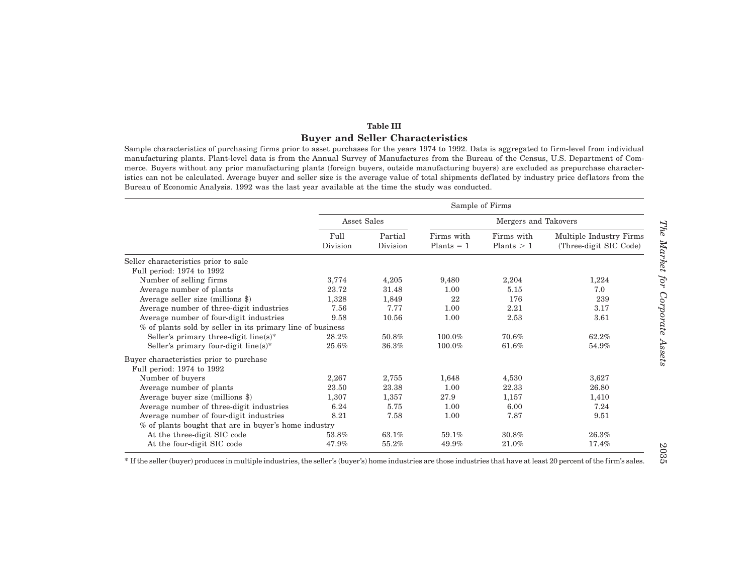# **Table IIIBuyer and Seller Characteristics**

Sample characteristics of purchasing firms prior to asset purchases for the years 1974 to 1992. Data is aggregated to firm-level from individual manufacturing plants. Plant-level data is from the Annual Survey of Manufactures from the Bureau of the Census, U.S. Department of Commerce. Buyers without any prior manufacturing plants (foreign buyers, outside manufacturing buyers) are excluded as prepurchase characteristics can not be calculated. Average buyer and seller size is the average value of total shipments deflated by industry price deflators from the Bureau of Economic Analysis. 1992 was the last year available at the time the study was conducted.

|                                                                                                       |                  |                     |                            | Sample of Firms            |                                                   |
|-------------------------------------------------------------------------------------------------------|------------------|---------------------|----------------------------|----------------------------|---------------------------------------------------|
|                                                                                                       | Asset Sales      |                     |                            | Mergers and Takovers       |                                                   |
|                                                                                                       | Full<br>Division | Partial<br>Division | Firms with<br>$Plants = 1$ | Firms with<br>Plants $> 1$ | Multiple Industry Firms<br>(Three-digit SIC Code) |
| Seller characteristics prior to sale<br>Full period: 1974 to 1992                                     |                  |                     |                            |                            |                                                   |
| Number of selling firms                                                                               | 3,774            | 4,205               | 9,480                      | 2,204                      | 1,224                                             |
| Average number of plants                                                                              | 23.72            | 31.48               | 1.00                       | 5.15                       | 7.0                                               |
| Average seller size (millions $\})$                                                                   | 1,328            | 1,849               | 22                         | 176                        | 239                                               |
| Average number of three-digit industries                                                              | 7.56             | 7.77                | 1.00                       | 2.21                       | 3.17                                              |
| Average number of four-digit industries<br>% of plants sold by seller in its primary line of business | 9.58             | 10.56               | 1.00                       | 2.53                       | 3.61                                              |
| Seller's primary three-digit line( $s$ )*                                                             | 28.2%            | 50.8%               | $100.0\%$                  | 70.6%                      | 62.2%                                             |
| Seller's primary four-digit line( $s$ )*                                                              | 25.6%            | 36.3%               | 100.0%                     | $61.6\%$                   | 54.9%                                             |
| Buyer characteristics prior to purchase<br>Full period: 1974 to 1992                                  |                  |                     |                            |                            |                                                   |
| Number of buyers                                                                                      | 2,267            | 2,755               | 1,648                      | 4,530                      | 3,627                                             |
| Average number of plants                                                                              | 23.50            | 23.38               | 1.00                       | 22.33                      | 26.80                                             |
| Average buyer size (millions $\})$                                                                    | 1,307            | 1,357               | 27.9                       | 1,157                      | 1,410                                             |
| Average number of three-digit industries                                                              | 6.24             | 5.75                | 1.00                       | 6.00                       | 7.24                                              |
| Average number of four-digit industries                                                               | 8.21             | 7.58                | 1.00                       | 7.87                       | 9.51                                              |
| % of plants bought that are in buyer's home industry                                                  |                  |                     |                            |                            |                                                   |
| At the three-digit SIC code                                                                           | 53.8%            | 63.1%               | 59.1%                      | 30.8%                      | 26.3%                                             |
| At the four-digit SIC code                                                                            | 47.9%            | 55.2%               | 49.9%                      | 21.0%                      | 17.4%                                             |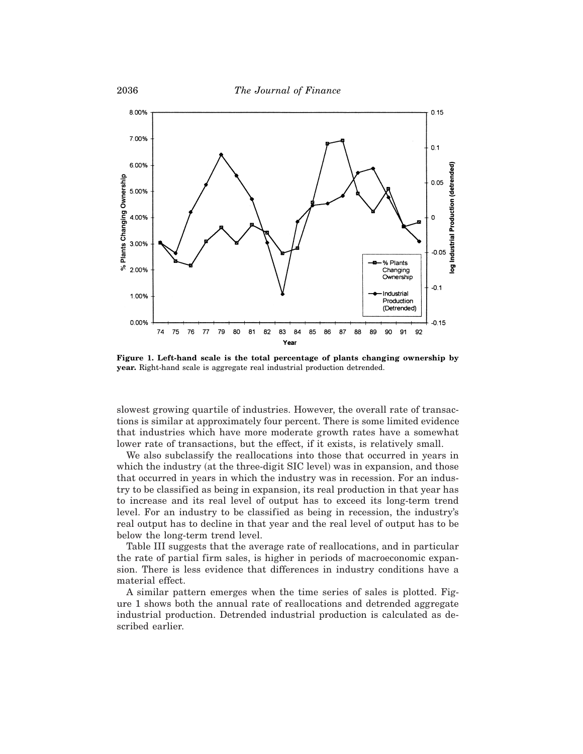

**Figure 1. Left-hand scale is the total percentage of plants changing ownership by year.** Right-hand scale is aggregate real industrial production detrended.

slowest growing quartile of industries. However, the overall rate of transactions is similar at approximately four percent. There is some limited evidence that industries which have more moderate growth rates have a somewhat lower rate of transactions, but the effect, if it exists, is relatively small.

We also subclassify the reallocations into those that occurred in years in which the industry (at the three-digit SIC level) was in expansion, and those that occurred in years in which the industry was in recession. For an industry to be classified as being in expansion, its real production in that year has to increase and its real level of output has to exceed its long-term trend level. For an industry to be classified as being in recession, the industry's real output has to decline in that year and the real level of output has to be below the long-term trend level.

Table III suggests that the average rate of reallocations, and in particular the rate of partial firm sales, is higher in periods of macroeconomic expansion. There is less evidence that differences in industry conditions have a material effect.

A similar pattern emerges when the time series of sales is plotted. Figure 1 shows both the annual rate of reallocations and detrended aggregate industrial production. Detrended industrial production is calculated as described earlier.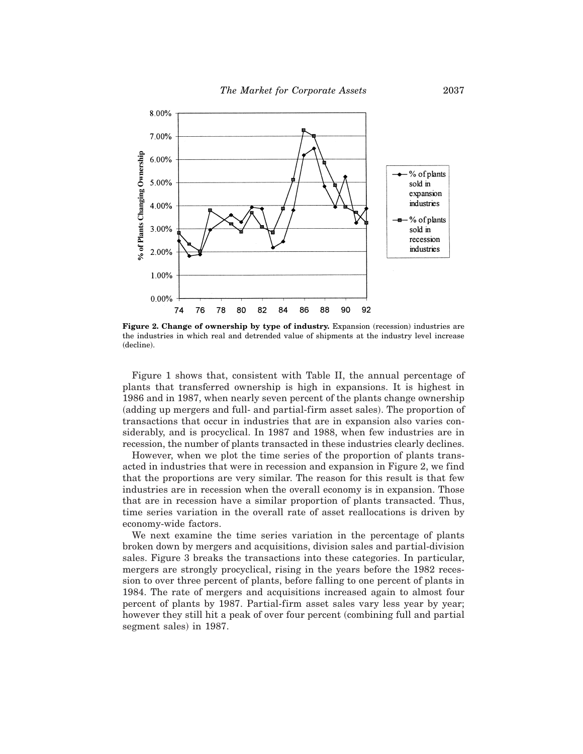

**Figure 2. Change of ownership by type of industry.** Expansion (recession) industries are the industries in which real and detrended value of shipments at the industry level increase (decline).

Figure 1 shows that, consistent with Table II, the annual percentage of plants that transferred ownership is high in expansions. It is highest in 1986 and in 1987, when nearly seven percent of the plants change ownership (adding up mergers and full- and partial-firm asset sales). The proportion of transactions that occur in industries that are in expansion also varies considerably, and is procyclical. In 1987 and 1988, when few industries are in recession, the number of plants transacted in these industries clearly declines.

However, when we plot the time series of the proportion of plants transacted in industries that were in recession and expansion in Figure 2, we find that the proportions are very similar. The reason for this result is that few industries are in recession when the overall economy is in expansion. Those that are in recession have a similar proportion of plants transacted. Thus, time series variation in the overall rate of asset reallocations is driven by economy-wide factors.

We next examine the time series variation in the percentage of plants broken down by mergers and acquisitions, division sales and partial-division sales. Figure 3 breaks the transactions into these categories. In particular, mergers are strongly procyclical, rising in the years before the 1982 recession to over three percent of plants, before falling to one percent of plants in 1984. The rate of mergers and acquisitions increased again to almost four percent of plants by 1987. Partial-firm asset sales vary less year by year; however they still hit a peak of over four percent (combining full and partial segment sales) in 1987.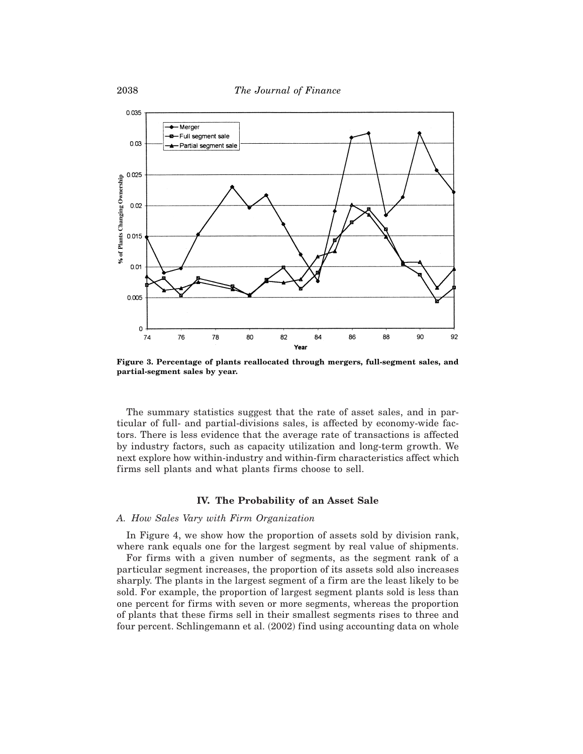

**Figure 3. Percentage of plants reallocated through mergers, full-segment sales, and partial-segment sales by year.**

The summary statistics suggest that the rate of asset sales, and in particular of full- and partial-divisions sales, is affected by economy-wide factors. There is less evidence that the average rate of transactions is affected by industry factors, such as capacity utilization and long-term growth. We next explore how within-industry and within-firm characteristics affect which firms sell plants and what plants firms choose to sell.

### **IV. The Probability of an Asset Sale**

### *A. How Sales Vary with Firm Organization*

In Figure 4, we show how the proportion of assets sold by division rank, where rank equals one for the largest segment by real value of shipments.

For firms with a given number of segments, as the segment rank of a particular segment increases, the proportion of its assets sold also increases sharply. The plants in the largest segment of a firm are the least likely to be sold. For example, the proportion of largest segment plants sold is less than one percent for firms with seven or more segments, whereas the proportion of plants that these firms sell in their smallest segments rises to three and four percent. Schlingemann et al.  $(2002)$  find using accounting data on whole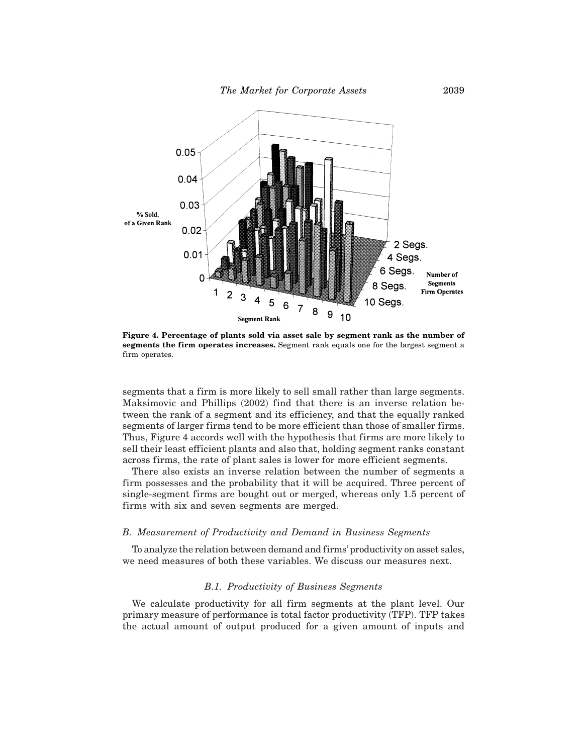

**Figure 4. Percentage of plants sold via asset sale by segment rank as the number of segments the firm operates increases.** Segment rank equals one for the largest segment a firm operates.

segments that a firm is more likely to sell small rather than large segments. Maksimovic and Phillips (2002) find that there is an inverse relation between the rank of a segment and its efficiency, and that the equally ranked segments of larger firms tend to be more efficient than those of smaller firms. Thus, Figure 4 accords well with the hypothesis that firms are more likely to sell their least efficient plants and also that, holding segment ranks constant across firms, the rate of plant sales is lower for more efficient segments.

There also exists an inverse relation between the number of segments a firm possesses and the probability that it will be acquired. Three percent of single-segment firms are bought out or merged, whereas only 1.5 percent of firms with six and seven segments are merged.

#### *B. Measurement of Productivity and Demand in Business Segments*

To analyze the relation between demand and firms'productivity on asset sales, we need measures of both these variables. We discuss our measures next.

# *B.1. Productivity of Business Segments*

We calculate productivity for all firm segments at the plant level. Our primary measure of performance is total factor productivity (TFP). TFP takes the actual amount of output produced for a given amount of inputs and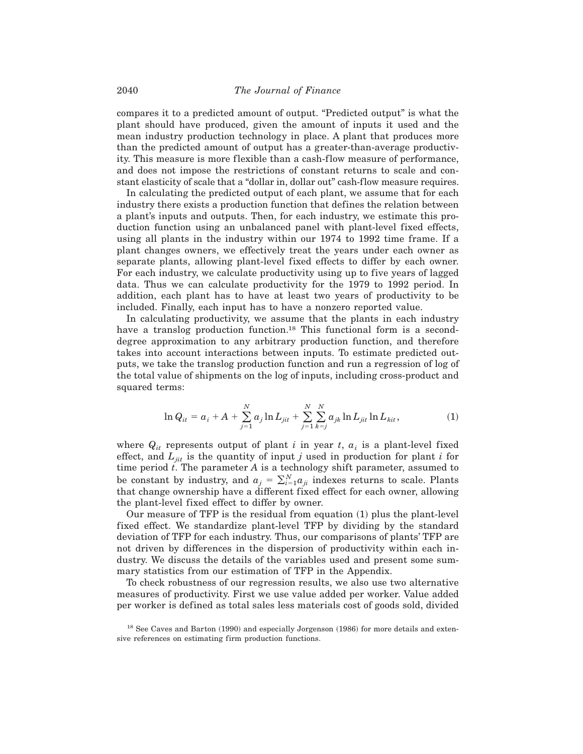compares it to a predicted amount of output. "Predicted output" is what the plant should have produced, given the amount of inputs it used and the mean industry production technology in place. A plant that produces more than the predicted amount of output has a greater-than-average productivity. This measure is more flexible than a cash-flow measure of performance, and does not impose the restrictions of constant returns to scale and constant elasticity of scale that a "dollar in, dollar out" cash-flow measure requires.

In calculating the predicted output of each plant, we assume that for each industry there exists a production function that defines the relation between a plant's inputs and outputs. Then, for each industry, we estimate this production function using an unbalanced panel with plant-level fixed effects, using all plants in the industry within our 1974 to 1992 time frame. If a plant changes owners, we effectively treat the years under each owner as separate plants, allowing plant-level fixed effects to differ by each owner. For each industry, we calculate productivity using up to five years of lagged data. Thus we can calculate productivity for the 1979 to 1992 period. In addition, each plant has to have at least two years of productivity to be included. Finally, each input has to have a nonzero reported value.

In calculating productivity, we assume that the plants in each industry have a translog production function.<sup>18</sup> This functional form is a seconddegree approximation to any arbitrary production function, and therefore takes into account interactions between inputs. To estimate predicted outputs, we take the translog production function and run a regression of log of the total value of shipments on the log of inputs, including cross-product and squared terms:

$$
\ln Q_{it} = a_i + A + \sum_{j=1}^{N} a_j \ln L_{jit} + \sum_{j=1}^{N} \sum_{k=j}^{N} a_{jk} \ln L_{jit} \ln L_{kit}, \qquad (1)
$$

where  $Q_{it}$  represents output of plant *i* in year *t*,  $a_i$  is a plant-level fixed effect, and  $L_{ijt}$  is the quantity of input *j* used in production for plant *i* for time period  $\hat{t}$ . The parameter  $A$  is a technology shift parameter, assumed to be constant by industry, and  $a_j = \sum_{i=1}^{N} a_{ji}$  indexes returns to scale. Plants that change ownership have a different fixed effect for each owner, allowing the plant-level fixed effect to differ by owner.

Our measure of TFP is the residual from equation  $(1)$  plus the plant-level fixed effect. We standardize plant-level TFP by dividing by the standard deviation of TFP for each industry. Thus, our comparisons of plants' TFP are not driven by differences in the dispersion of productivity within each industry. We discuss the details of the variables used and present some summary statistics from our estimation of TFP in the Appendix.

To check robustness of our regression results, we also use two alternative measures of productivity. First we use value added per worker. Value added per worker is defined as total sales less materials cost of goods sold, divided

<sup>&</sup>lt;sup>18</sup> See Caves and Barton  $(1990)$  and especially Jorgenson  $(1986)$  for more details and extensive references on estimating firm production functions.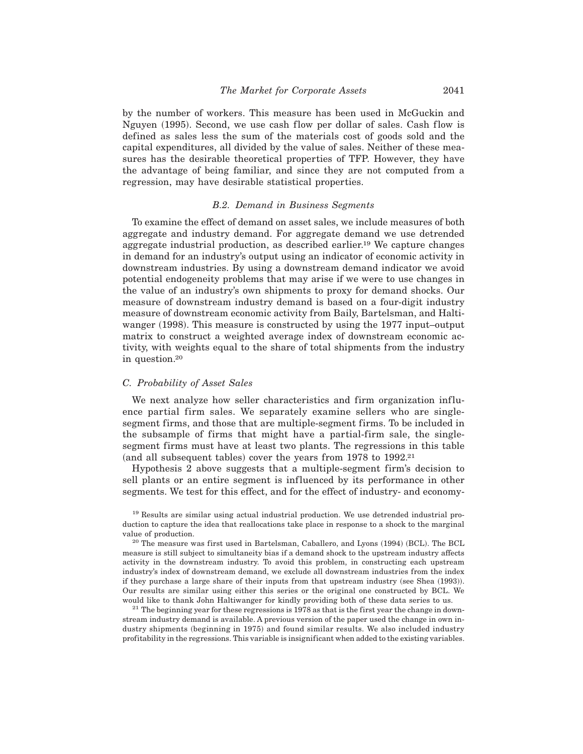by the number of workers. This measure has been used in McGuckin and Nguyen (1995). Second, we use cash flow per dollar of sales. Cash flow is defined as sales less the sum of the materials cost of goods sold and the capital expenditures, all divided by the value of sales. Neither of these measures has the desirable theoretical properties of TFP. However, they have the advantage of being familiar, and since they are not computed from a regression, may have desirable statistical properties.

#### *B.2. Demand in Business Segments*

To examine the effect of demand on asset sales, we include measures of both aggregate and industry demand. For aggregate demand we use detrended aggregate industrial production, as described earlier.19 We capture changes in demand for an industry's output using an indicator of economic activity in downstream industries. By using a downstream demand indicator we avoid potential endogeneity problems that may arise if we were to use changes in the value of an industry's own shipments to proxy for demand shocks. Our measure of downstream industry demand is based on a four-digit industry measure of downstream economic activity from Baily, Bartelsman, and Haltiwanger (1998). This measure is constructed by using the 1977 input–output matrix to construct a weighted average index of downstream economic activity, with weights equal to the share of total shipments from the industry in question.20

# *C. Probability of Asset Sales*

We next analyze how seller characteristics and firm organization influence partial firm sales. We separately examine sellers who are singlesegment firms, and those that are multiple-segment firms. To be included in the subsample of firms that might have a partial-firm sale, the singlesegment firms must have at least two plants. The regressions in this table (and all subsequent tables) cover the years from  $1978$  to  $1992.<sup>21</sup>$ 

Hypothesis 2 above suggests that a multiple-segment firm's decision to sell plants or an entire segment is influenced by its performance in other segments. We test for this effect, and for the effect of industry- and economy-

<sup>19</sup> Results are similar using actual industrial production. We use detrended industrial production to capture the idea that reallocations take place in response to a shock to the marginal value of production.

 $^{20}$  The measure was first used in Bartelsman, Caballero, and Lyons  $(1994)$  (BCL). The BCL measure is still subject to simultaneity bias if a demand shock to the upstream industry affects activity in the downstream industry. To avoid this problem, in constructing each upstream industry's index of downstream demand, we exclude all downstream industries from the index if they purchase a large share of their inputs from that upstream industry (see Shea  $(1993)$ ). Our results are similar using either this series or the original one constructed by BCL. We would like to thank John Haltiwanger for kindly providing both of these data series to us.

 $21$  The beginning year for these regressions is 1978 as that is the first year the change in downstream industry demand is available. A previous version of the paper used the change in own industry shipments (beginning in 1975) and found similar results. We also included industry profitability in the regressions. This variable is insignificant when added to the existing variables.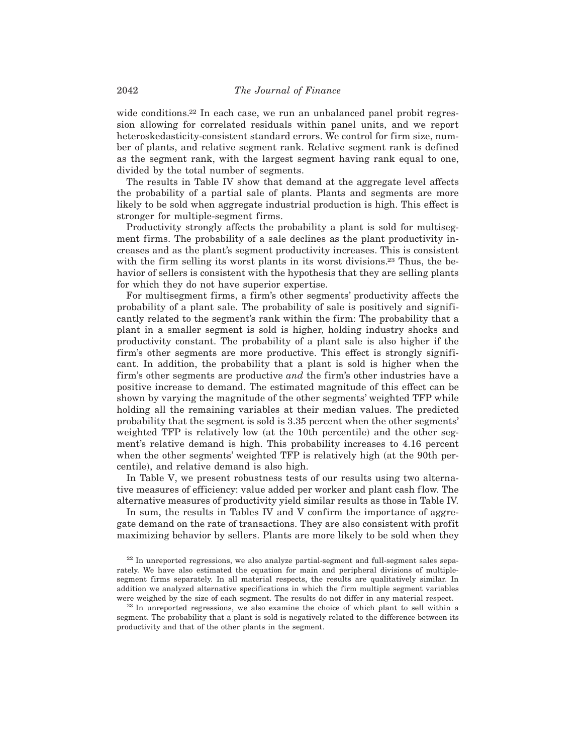wide conditions.<sup>22</sup> In each case, we run an unbalanced panel probit regression allowing for correlated residuals within panel units, and we report heteroskedasticity-consistent standard errors. We control for firm size, number of plants, and relative segment rank. Relative segment rank is defined as the segment rank, with the largest segment having rank equal to one, divided by the total number of segments.

The results in Table IV show that demand at the aggregate level affects the probability of a partial sale of plants. Plants and segments are more likely to be sold when aggregate industrial production is high. This effect is stronger for multiple-segment firms.

Productivity strongly affects the probability a plant is sold for multisegment firms. The probability of a sale declines as the plant productivity increases and as the plant's segment productivity increases. This is consistent with the firm selling its worst plants in its worst divisions.<sup>23</sup> Thus, the behavior of sellers is consistent with the hypothesis that they are selling plants for which they do not have superior expertise.

For multisegment firms, a firm's other segments' productivity affects the probability of a plant sale. The probability of sale is positively and significantly related to the segment's rank within the firm: The probability that a plant in a smaller segment is sold is higher, holding industry shocks and productivity constant. The probability of a plant sale is also higher if the firm's other segments are more productive. This effect is strongly significant. In addition, the probability that a plant is sold is higher when the firm's other segments are productive *and* the firm's other industries have a positive increase to demand. The estimated magnitude of this effect can be shown by varying the magnitude of the other segments' weighted TFP while holding all the remaining variables at their median values. The predicted probability that the segment is sold is 3.35 percent when the other segments' weighted TFP is relatively low (at the 10th percentile) and the other segment's relative demand is high. This probability increases to 4.16 percent when the other segments' weighted TFP is relatively high (at the 90th percentile), and relative demand is also high.

In Table V, we present robustness tests of our results using two alternative measures of efficiency: value added per worker and plant cash flow. The alternative measures of productivity yield similar results as those in Table IV.

In sum, the results in Tables IV and V confirm the importance of aggregate demand on the rate of transactions. They are also consistent with profit maximizing behavior by sellers. Plants are more likely to be sold when they

 $22$  In unreported regressions, we also analyze partial-segment and full-segment sales separately. We have also estimated the equation for main and peripheral divisions of multiplesegment firms separately. In all material respects, the results are qualitatively similar. In addition we analyzed alternative specifications in which the firm multiple segment variables were weighed by the size of each segment. The results do not differ in any material respect.

<sup>23</sup> In unreported regressions, we also examine the choice of which plant to sell within a segment. The probability that a plant is sold is negatively related to the difference between its productivity and that of the other plants in the segment.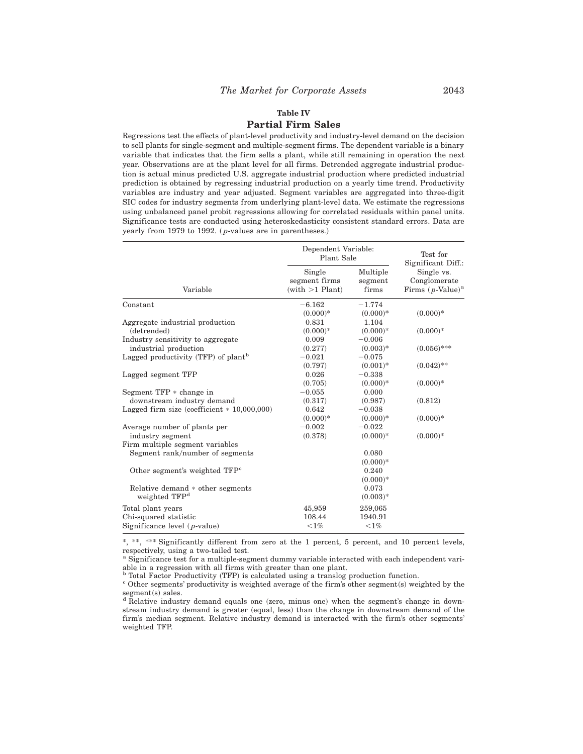### **Table IV**

# **Partial Firm Sales**

Regressions test the effects of plant-level productivity and industry-level demand on the decision to sell plants for single-segment and multiple-segment firms. The dependent variable is a binary variable that indicates that the firm sells a plant, while still remaining in operation the next year. Observations are at the plant level for all firms. Detrended aggregate industrial production is actual minus predicted U.S. aggregate industrial production where predicted industrial prediction is obtained by regressing industrial production on a yearly time trend. Productivity variables are industry and year adjusted. Segment variables are aggregated into three-digit SIC codes for industry segments from underlying plant-level data. We estimate the regressions using unbalanced panel probit regressions allowing for correlated residuals within panel units. Significance tests are conducted using heteroskedasticity consistent standard errors. Data are vearly from 1979 to 1992. (*p*-values are in parentheses.)

|                                                                               | Dependent Variable:<br>Plant Sale            | Test for<br>Significant Diff.: |                                                               |  |
|-------------------------------------------------------------------------------|----------------------------------------------|--------------------------------|---------------------------------------------------------------|--|
| Variable                                                                      | Single<br>segment firms<br>$(with >1$ Plant) | Multiple<br>segment<br>firms   | Single vs.<br>Conglomerate<br>Firms $(p$ -Value) <sup>a</sup> |  |
| Constant                                                                      | $-6.162$<br>$(0.000)*$                       | $-1.774$<br>$(0.000)*$         | $(0.000)*$                                                    |  |
| Aggregate industrial production<br>(detrended)                                | 0.831<br>$(0.000)*$                          | 1.104<br>$(0.000)*$            | $(0.000)*$                                                    |  |
| Industry sensitivity to aggregate<br>industrial production                    | 0.009<br>(0.277)                             | $-0.006$<br>$(0.003)*$         | $(0.056)$ ***                                                 |  |
| Lagged productivity (TFP) of plant <sup>b</sup>                               | $-0.021$<br>(0.797)                          | $-0.075$<br>$(0.001)^*$        | $(0.042)$ **                                                  |  |
| Lagged segment TFP                                                            | 0.026<br>(0.705)                             | $-0.338$<br>$(0.000)*$         | $(0.000)*$                                                    |  |
| Segment TFP * change in<br>downstream industry demand                         | $-0.055$<br>(0.317)                          | 0.000<br>(0.987)               | (0.812)                                                       |  |
| Lagged firm size (coefficient * 10,000,000)                                   | 0.642<br>$(0.000)*$                          | $-0.038$<br>$(0.000)*$         | $(0.000)*$                                                    |  |
| Average number of plants per<br>industry segment                              | $-0.002$<br>(0.378)                          | $-0.022$<br>$(0.000)*$         | $(0.000)*$                                                    |  |
| Firm multiple segment variables<br>Segment rank/number of segments            |                                              | 0.080<br>$(0.000)*$            |                                                               |  |
| Other segment's weighted TFP <sup>c</sup>                                     |                                              | 0.240<br>$(0.000)*$            |                                                               |  |
| Relative demand * other segments<br>weighted TFP <sup>d</sup>                 |                                              | 0.073<br>$(0.003)*$            |                                                               |  |
| Total plant years<br>Chi-squared statistic<br>Significance level $(p$ -value) | 45,959<br>108.44<br>$<$ 1%                   | 259,065<br>1940.91<br>$<$ 1%   |                                                               |  |

\*, \*\*, \*\*\* Significantly different from zero at the 1 percent, 5 percent, and 10 percent levels, respectively, using a two-tailed test.

<sup>a</sup> Significance test for a multiple-segment dummy variable interacted with each independent variable in a regression with all firms with greater than one plant.<br><sup>b</sup> Total Factor Productivity (TFP) is calculated using a translog production function.

 $\cdot$  Other segments' productivity is weighted average of the firm's other segment(s) weighted by the segment(s) sales. demand equals one (zero, minus one) when the segment's change in down-

stream industry demand is greater (equal, less) than the change in downstream demand of the firm's median segment. Relative industry demand is interacted with the firm's other segments' weighted TFP.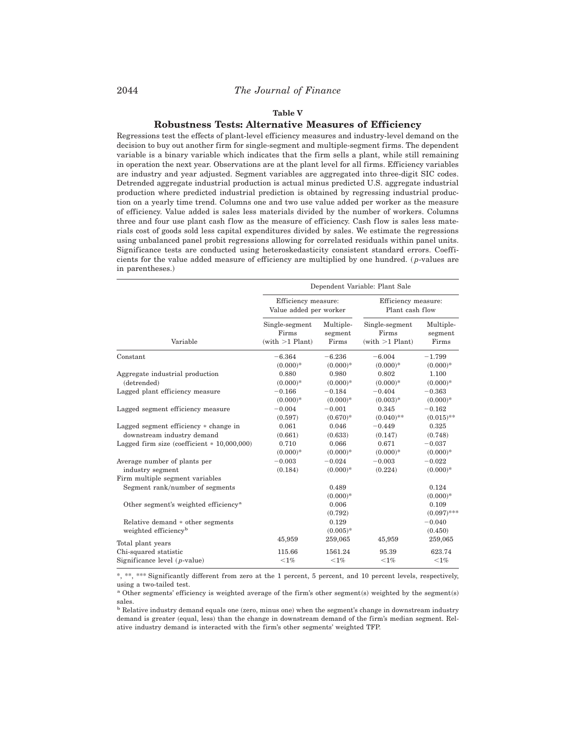#### **Table V**

#### **Robustness Tests: Alternative Measures of Efficiency**

Regressions test the effects of plant-level efficiency measures and industry-level demand on the decision to buy out another firm for single-segment and multiple-segment firms. The dependent variable is a binary variable which indicates that the firm sells a plant, while still remaining in operation the next year. Observations are at the plant level for all firms. Efficiency variables are industry and year adjusted. Segment variables are aggregated into three-digit SIC codes. Detrended aggregate industrial production is actual minus predicted U.S. aggregate industrial production where predicted industrial prediction is obtained by regressing industrial production on a yearly time trend. Columns one and two use value added per worker as the measure of efficiency. Value added is sales less materials divided by the number of workers. Columns three and four use plant cash flow as the measure of efficiency. Cash flow is sales less materials cost of goods sold less capital expenditures divided by sales. We estimate the regressions using unbalanced panel probit regressions allowing for correlated residuals within panel units. Significance tests are conducted using heteroskedasticity consistent standard errors. Coefficients for the value added measure of efficiency are multiplied by one hundred. *p*-values are in parentheses.)

|                                                                      | Dependent Variable: Plant Sale                |                                |                                        |                                      |
|----------------------------------------------------------------------|-----------------------------------------------|--------------------------------|----------------------------------------|--------------------------------------|
|                                                                      | Efficiency measure:<br>Value added per worker |                                | Efficiency measure:<br>Plant cash flow |                                      |
| Variable                                                             | Single-segment                                | Multiple-                      | Single-segment                         | Multiple-                            |
|                                                                      | Firms                                         | segment                        | Firms                                  | segment                              |
|                                                                      | $(with >1$ Plant)                             | Firms                          | $(with >1$ Plant)                      | Firms                                |
| Constant                                                             | $-6.364$                                      | $-6.236$                       | $-6.004$                               | $-1.799$                             |
|                                                                      | $(0.000)*$                                    | $(0.000)*$                     | $(0.000)*$                             | $(0.000)*$                           |
| Aggregate industrial production                                      | 0.880                                         | 0.980                          | 0.802                                  | 1.100                                |
| (detrended)                                                          | $(0.000)*$                                    | $(0.000)*$                     | $(0.000)*$                             | $(0.000)*$                           |
| Lagged plant efficiency measure                                      | $-0.166$                                      | $-0.184$                       | $-0.404$                               | $-0.363$                             |
|                                                                      | $(0.000)*$                                    | $(0.000)*$                     | $(0.003)*$                             | $(0.000)*$                           |
| Lagged segment efficiency measure                                    | $-0.004$                                      | $-0.001$                       | 0.345                                  | $-0.162$                             |
|                                                                      | (0.597)                                       | $(0.670)*$                     | $(0.040)$ **                           | $(0.015)$ **                         |
| Lagged segment efficiency * change in                                | 0.061                                         | 0.046                          | $-0.449$                               | 0.325                                |
| downstream industry demand                                           | (0.661)                                       | (0.633)                        | (0.147)                                | (0.748)                              |
| Lagged firm size (coefficient $* 10,000,000$ )                       | 0.710                                         | 0.066                          | 0.671                                  | $-0.037$                             |
|                                                                      | $(0.000)*$                                    | $(0.000)*$                     | $(0.000)*$                             | $(0.000)*$                           |
| Average number of plants per                                         | $-0.003$                                      | $-0.024$                       | $-0.003$                               | $-0.022$                             |
| industry segment                                                     | (0.184)                                       | $(0.000)*$                     | (0.224)                                | $(0.000)*$                           |
| Firm multiple segment variables<br>Segment rank/number of segments   |                                               | 0.489                          |                                        | 0.124                                |
| Other segment's weighted efficiency <sup>a</sup>                     |                                               | $(0.000)*$<br>0.006<br>(0.792) |                                        | $(0.000)*$<br>0.109<br>$(0.097)$ *** |
| Relative demand * other segments<br>weighted efficiency <sup>b</sup> |                                               | 0.129<br>$(0.005)*$            |                                        | $-0.040$<br>(0.450)                  |
| Total plant years                                                    | 45,959                                        | 259,065                        | 45,959                                 | 259,065                              |
| Chi-squared statistic                                                | 115.66                                        | 1561.24                        | 95.39                                  | 623.74                               |
| Significance level $(p$ -value)                                      | $<$ 1%                                        | $<$ 1%                         | $<$ 1%                                 | $<$ 1%                               |

\*, \*\*, \*\*\* Significantly different from zero at the 1 percent, 5 percent, and 10 percent levels, respectively, using a two-tailed test.

 $a$  Other segments' efficiency is weighted average of the firm's other segment(s) weighted by the segment(s) sales.

 $<sup>b</sup>$  Relative industry demand equals one (zero, minus one) when the segment's change in downstream industry</sup> demand is greater (equal, less) than the change in downstream demand of the firm's median segment. Relative industry demand is interacted with the firm's other segments' weighted TFP.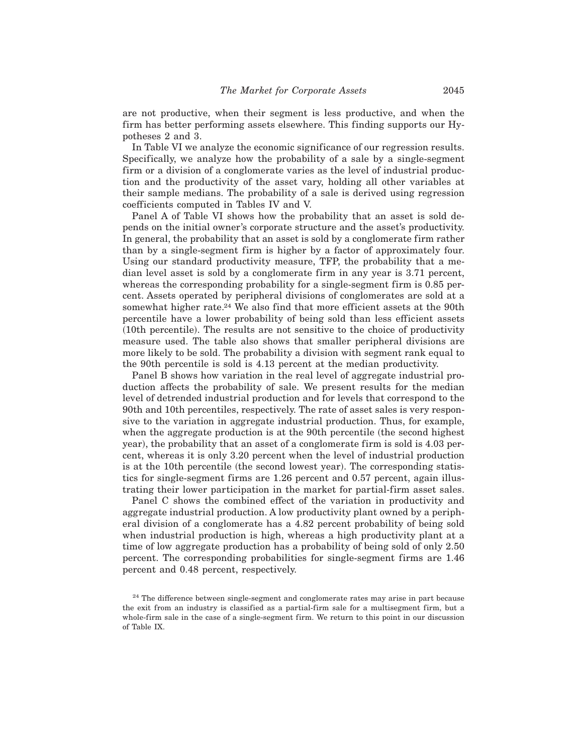are not productive, when their segment is less productive, and when the firm has better performing assets elsewhere. This finding supports our Hypotheses 2 and 3.

In Table VI we analyze the economic significance of our regression results. Specifically, we analyze how the probability of a sale by a single-segment firm or a division of a conglomerate varies as the level of industrial production and the productivity of the asset vary, holding all other variables at their sample medians. The probability of a sale is derived using regression coefficients computed in Tables IV and V.

Panel A of Table VI shows how the probability that an asset is sold depends on the initial owner's corporate structure and the asset's productivity. In general, the probability that an asset is sold by a conglomerate firm rather than by a single-segment firm is higher by a factor of approximately four. Using our standard productivity measure, TFP, the probability that a median level asset is sold by a conglomerate firm in any year is 3.71 percent, whereas the corresponding probability for a single-segment firm is 0.85 percent. Assets operated by peripheral divisions of conglomerates are sold at a somewhat higher rate.24 We also find that more efficient assets at the 90th percentile have a lower probability of being sold than less efficient assets  $(10th$  percentile). The results are not sensitive to the choice of productivity measure used. The table also shows that smaller peripheral divisions are more likely to be sold. The probability a division with segment rank equal to the 90th percentile is sold is 4.13 percent at the median productivity.

Panel B shows how variation in the real level of aggregate industrial production affects the probability of sale. We present results for the median level of detrended industrial production and for levels that correspond to the 90th and 10th percentiles, respectively. The rate of asset sales is very responsive to the variation in aggregate industrial production. Thus, for example, when the aggregate production is at the  $90<sup>th</sup>$  percentile (the second highest) year), the probability that an asset of a conglomerate firm is sold is 4.03 percent, whereas it is only 3.20 percent when the level of industrial production is at the 10th percentile (the second lowest year). The corresponding statistics for single-segment firms are 1.26 percent and 0.57 percent, again illustrating their lower participation in the market for partial-firm asset sales.

Panel C shows the combined effect of the variation in productivity and aggregate industrial production. A low productivity plant owned by a peripheral division of a conglomerate has a 4.82 percent probability of being sold when industrial production is high, whereas a high productivity plant at a time of low aggregate production has a probability of being sold of only 2.50 percent. The corresponding probabilities for single-segment firms are 1.46 percent and 0.48 percent, respectively.

 $24$  The difference between single-segment and conglomerate rates may arise in part because the exit from an industry is classified as a partial-firm sale for a multisegment firm, but a whole-firm sale in the case of a single-segment firm. We return to this point in our discussion of Table IX.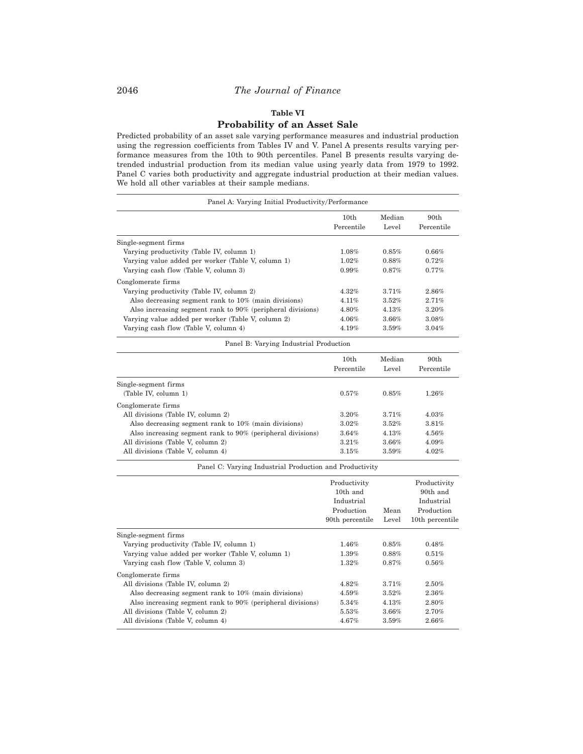### 2046 *The Journal of Finance*

# **Table VI**

# **Probability of an Asset Sale**

Predicted probability of an asset sale varying performance measures and industrial production using the regression coefficients from Tables IV and V. Panel A presents results varying performance measures from the 10th to 90th percentiles. Panel B presents results varying detrended industrial production from its median value using yearly data from 1979 to 1992. Panel C varies both productivity and aggregate industrial production at their median values. We hold all other variables at their sample medians.

| Panel A: Varying Initial Productivity/Performance          |                                |                 |                    |
|------------------------------------------------------------|--------------------------------|-----------------|--------------------|
|                                                            | 10 <sub>th</sub><br>Percentile | Median<br>Level | 90th<br>Percentile |
| Single-segment firms                                       |                                |                 |                    |
| Varying productivity (Table IV, column 1)                  | 1.08%                          | 0.85%           | 0.66%              |
| Varying value added per worker (Table V, column 1)         | 1.02%                          | 0.88%           | 0.72%              |
| Varying cash flow (Table V, column 3)                      | $0.99\%$                       | 0.87%           | $0.77\%$           |
| Conglomerate firms                                         |                                |                 |                    |
| Varying productivity (Table IV, column 2)                  | $4.32\%$                       | 3.71%           | 2.86%              |
| Also decreasing segment rank to 10% (main divisions)       | $4.11\%$                       | 3.52%           | 2.71%              |
| Also increasing segment rank to 90% (peripheral divisions) | 4.80%                          | 4.13%           | 3.20%              |
| Varying value added per worker (Table V, column 2)         | 4.06%                          | 3.66%           | 3.08%              |
| Varying cash flow (Table V, column 4)                      | 4.19%                          | 3.59%           | 3.04%              |

Panel B: Varying Industrial Production

|                                                            | 10 <sub>th</sub><br>Percentile | Median<br>Level | 90 <sub>th</sub><br>Percentile |
|------------------------------------------------------------|--------------------------------|-----------------|--------------------------------|
| Single-segment firms                                       |                                |                 |                                |
| (Table IV, column 1)                                       | 0.57%                          | 0.85%           | 1.26%                          |
| Conglomerate firms                                         |                                |                 |                                |
| All divisions (Table IV, column 2)                         | 3.20%                          | 3.71%           | 4.03%                          |
| Also decreasing segment rank to 10% (main divisions)       | $3.02\%$                       | $3.52\%$        | 3.81%                          |
| Also increasing segment rank to 90% (peripheral divisions) | $3.64\%$                       | $4.13\%$        | 4.56%                          |
| All divisions (Table V, column 2)                          | 3.21%                          | 3.66%           | 4.09%                          |
| All divisions (Table V, column 4)                          | 3.15%                          | 3.59%           | $4.02\%$                       |

Panel C: Varying Industrial Production and Productivity

|                                                            | Productivity    |          | Productivity    |  |
|------------------------------------------------------------|-----------------|----------|-----------------|--|
|                                                            | $10th$ and      |          | 90th and        |  |
|                                                            | Industrial      |          | Industrial      |  |
|                                                            | Production      | Mean     | Production      |  |
|                                                            | 90th percentile | Level    | 10th percentile |  |
| Single-segment firms                                       |                 |          |                 |  |
| Varying productivity (Table IV, column 1)                  | 1.46%           | 0.85%    | 0.48%           |  |
| Varying value added per worker (Table V, column 1)         | $1.39\%$        | 0.88%    | 0.51%           |  |
| Varying cash flow (Table V, column 3)                      | $1.32\%$        | $0.87\%$ | 0.56%           |  |
| Conglomerate firms                                         |                 |          |                 |  |
| All divisions (Table IV, column 2)                         | 4.82%           | 3.71%    | 2.50%           |  |
| Also decreasing segment rank to 10% (main divisions)       | $4.59\%$        | 3.52%    | 2.36%           |  |
| Also increasing segment rank to 90% (peripheral divisions) | 5.34%           | 4.13%    | 2.80%           |  |
| All divisions (Table V, column 2)                          | 5.53%           | $3.66\%$ | 2.70%           |  |
| All divisions (Table V, column 4)                          | $4.67\%$        | 3.59%    | 2.66%           |  |
|                                                            |                 |          |                 |  |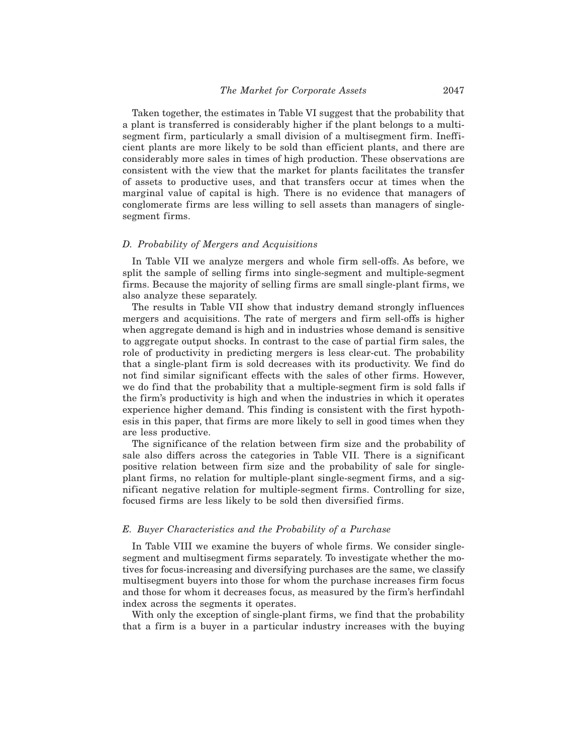Taken together, the estimates in Table VI suggest that the probability that a plant is transferred is considerably higher if the plant belongs to a multisegment firm, particularly a small division of a multisegment firm. Inefficient plants are more likely to be sold than efficient plants, and there are considerably more sales in times of high production. These observations are consistent with the view that the market for plants facilitates the transfer of assets to productive uses, and that transfers occur at times when the marginal value of capital is high. There is no evidence that managers of conglomerate firms are less willing to sell assets than managers of singlesegment firms.

### *D. Probability of Mergers and Acquisitions*

In Table VII we analyze mergers and whole firm sell-offs. As before, we split the sample of selling firms into single-segment and multiple-segment firms. Because the majority of selling firms are small single-plant firms, we also analyze these separately.

The results in Table VII show that industry demand strongly influences mergers and acquisitions. The rate of mergers and firm sell-offs is higher when aggregate demand is high and in industries whose demand is sensitive to aggregate output shocks. In contrast to the case of partial firm sales, the role of productivity in predicting mergers is less clear-cut. The probability that a single-plant firm is sold decreases with its productivity. We find do not find similar significant effects with the sales of other firms. However, we do find that the probability that a multiple-segment firm is sold falls if the firm's productivity is high and when the industries in which it operates experience higher demand. This finding is consistent with the first hypothesis in this paper, that firms are more likely to sell in good times when they are less productive.

The significance of the relation between firm size and the probability of sale also differs across the categories in Table VII. There is a significant positive relation between firm size and the probability of sale for singleplant firms, no relation for multiple-plant single-segment firms, and a significant negative relation for multiple-segment firms. Controlling for size, focused firms are less likely to be sold then diversified firms.

### *E. Buyer Characteristics and the Probability of a Purchase*

In Table VIII we examine the buyers of whole firms. We consider singlesegment and multisegment firms separately. To investigate whether the motives for focus-increasing and diversifying purchases are the same, we classify multisegment buyers into those for whom the purchase increases firm focus and those for whom it decreases focus, as measured by the firm's herfindahl index across the segments it operates.

With only the exception of single-plant firms, we find that the probability that a firm is a buyer in a particular industry increases with the buying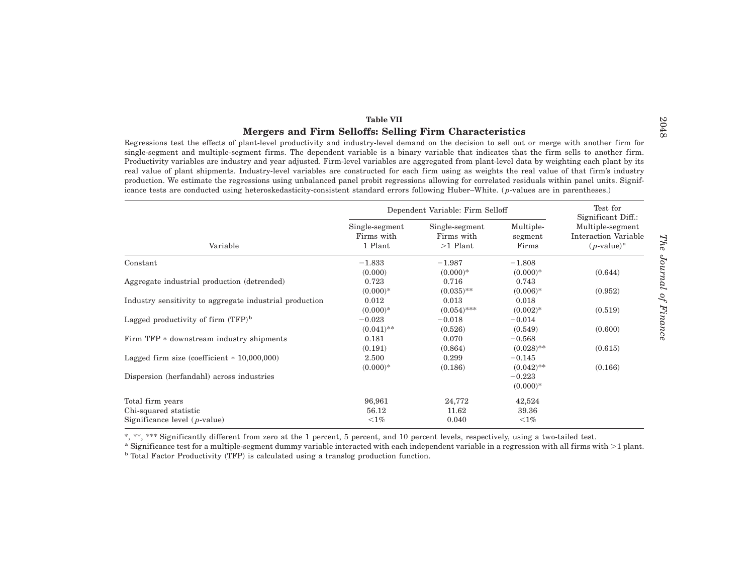# **Table VIIMergers and Firm Selloffs: Selling Firm Characteristics**

Regressions test the effects of plant-level productivity and industry-level demand on the decision to sell out or merge with another firm for single-segment and multiple-segment firms. The dependent variable is <sup>a</sup> binary variable that indicates that the firm sells to another firm. Productivity variables are industry and year adjusted. Firm-level variables are aggregated from plant-level data by weighting each plant by its real value of plant shipments. Industry-level variables are constructed for each firm using as weights the real value of that firm's industry production. We estimate the regressions using unbalanced panel probit regressions allowing for correlated residuals within panel units. Significance tests are conducted using heteroskedasticity-consistent standard errors following Huber–White. (*p*-values are in parentheses.)

|                                                         |                                         | Dependent Variable: Firm Selloff           |                               |                                                                                             |
|---------------------------------------------------------|-----------------------------------------|--------------------------------------------|-------------------------------|---------------------------------------------------------------------------------------------|
| Variable                                                | Single-segment<br>Firms with<br>1 Plant | Single-segment<br>Firms with<br>$>1$ Plant | Multiple-<br>segment<br>Firms | Significant Diff.:<br>Multiple-segment<br>Interaction Variable<br>$(p$ -value) <sup>a</sup> |
| Constant                                                | $-1.833$                                | $-1.987$                                   | $-1.808$                      |                                                                                             |
|                                                         | (0.000)                                 | $(0.000)*$                                 | $(0.000)*$                    | (0.644)                                                                                     |
| Aggregate industrial production (detrended)             | 0.723                                   | 0.716                                      | 0.743                         |                                                                                             |
|                                                         | $(0.000)*$                              | $(0.035)$ **                               | $(0.006)*$                    | (0.952)                                                                                     |
| Industry sensitivity to aggregate industrial production | 0.012                                   | 0.013                                      | 0.018                         |                                                                                             |
|                                                         | $(0.000)*$                              | $(0.054)$ ***                              | $(0.002)*$                    | (0.519)                                                                                     |
| Lagged productivity of firm $(TFP)^b$                   | $-0.023$                                | $-0.018$                                   | $-0.014$                      |                                                                                             |
|                                                         | $(0.041)$ **                            | (0.526)                                    | (0.549)                       | (0.600)                                                                                     |
| Firm TFP * downstream industry shipments                | 0.181                                   | 0.070                                      | $-0.568$                      |                                                                                             |
|                                                         | (0.191)                                 | (0.864)                                    | $(0.028)$ **                  | (0.615)                                                                                     |
| Lagged firm size (coefficient $* 10,000,000$ )          | 2.500                                   | 0.299                                      | $-0.145$                      |                                                                                             |
|                                                         | $(0.000)*$                              | (0.186)                                    | $(0.042)$ **                  | (0.166)                                                                                     |
| Dispersion (herfandahl) across industries               |                                         |                                            | $-0.223$                      |                                                                                             |
|                                                         |                                         |                                            | $(0.000)*$                    |                                                                                             |
| Total firm years                                        | 96,961                                  | 24,772                                     | 42,524                        |                                                                                             |
| Chi-squared statistic                                   | 56.12                                   | 11.62                                      | 39.36                         |                                                                                             |
| Significance level $(p$ -value)                         | $<$ 1%                                  | 0.040                                      | ${<}1\%$                      |                                                                                             |

\*, \*\*, \*\*\* Significantly different from zero at the 1 percent, 5 percent, and 10 percent levels, respectively, using <sup>a</sup> two-tailed test.

<sup>a</sup> Significance test for a multiple-segment dummy variable interacted with each independent variable in a regression with all firms with  $>1$  plant.

 $b$  Total Factor Productivity (TFP) is calculated using a translog production function.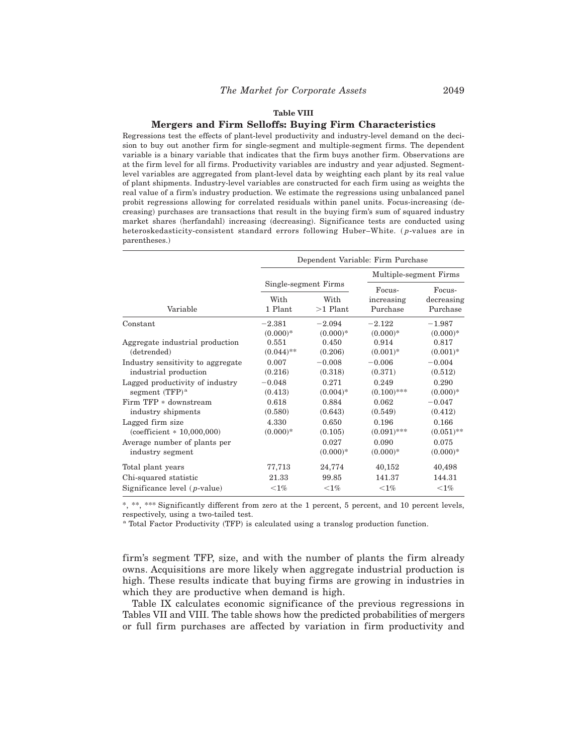### **Table VIII**

#### **Mergers and Firm Selloffs: Buying Firm Characteristics**

Regressions test the effects of plant-level productivity and industry-level demand on the decision to buy out another firm for single-segment and multiple-segment firms. The dependent variable is a binary variable that indicates that the firm buys another firm. Observations are at the firm level for all firms. Productivity variables are industry and year adjusted. Segmentlevel variables are aggregated from plant-level data by weighting each plant by its real value of plant shipments. Industry-level variables are constructed for each firm using as weights the real value of a firm's industry production. We estimate the regressions using unbalanced panel probit regressions allowing for correlated residuals within panel units. Focus-increasing (decreasing) purchases are transactions that result in the buying firm's sum of squared industry market shares (herfandahl) increasing (decreasing). Significance tests are conducted using heteroskedasticity-consistent standard errors following Huber–White. (p-values are in parentheses.)

|                                   | Dependent Variable: Firm Purchase |                      |                        |              |
|-----------------------------------|-----------------------------------|----------------------|------------------------|--------------|
|                                   |                                   |                      | Multiple-segment Firms |              |
|                                   |                                   | Single-segment Firms |                        | Focus-       |
|                                   | With                              | With                 | increasing             | decreasing   |
| Variable                          | 1 Plant                           | $>1$ Plant           | Purchase               | Purchase     |
| Constant                          | $-2.381$                          | $-2.094$             | $-2.122$               | $-1.987$     |
|                                   | $(0.000)*$                        | $(0.000)*$           | $(0.000)*$             | $(0.000)*$   |
| Aggregate industrial production   | 0.551                             | 0.450                | 0.914                  | 0.817        |
| (detrended)                       | $(0.044)$ **                      | (0.206)              | $(0.001)^*$            | $(0.001)^*$  |
| Industry sensitivity to aggregate | 0.007                             | $-0.008$             | $-0.006$               | $-0.004$     |
| industrial production             | (0.216)                           | (0.318)              | (0.371)                | (0.512)      |
| Lagged productivity of industry   | $-0.048$                          | 0.271                | 0.249                  | 0.290        |
| segment $(TFP)^a$                 | (0.413)                           | $(0.004)*$           | $(0.100)$ ***          | $(0.000)*$   |
| Firm TFP * downstream             | 0.618                             | 0.884                | 0.062                  | $-0.047$     |
| industry shipments                | (0.580)                           | (0.643)              | (0.549)                | (0.412)      |
| Lagged firm size                  | 4.330                             | 0.650                | 0.196                  | 0.166        |
| $(coefficient * 10,000,000)$      | $(0.000)*$                        | (0.105)              | $(0.091)$ ***          | $(0.051)$ ** |
| Average number of plants per      |                                   | 0.027                | 0.090                  | 0.075        |
| industry segment                  |                                   | $(0.000)*$           | $(0.000)*$             | $(0.000)*$   |
| Total plant years                 | 77,713                            | 24,774               | 40,152                 | 40,498       |
| Chi-squared statistic             | 21.33                             | 99.85                | 141.37                 | 144.31       |
| Significance level $(p$ -value)   | ${<}1\%$                          | ${<}1\%$             | ${<}1\%$               | $<$ 1%       |

\*, \*\*, \*\*\* Significantly different from zero at the 1 percent, 5 percent, and 10 percent levels, respectively, using a two-tailed test.

<sup>a</sup> Total Factor Productivity (TFP) is calculated using a translog production function.

firm's segment TFP, size, and with the number of plants the firm already owns. Acquisitions are more likely when aggregate industrial production is high. These results indicate that buying firms are growing in industries in which they are productive when demand is high.

Table IX calculates economic significance of the previous regressions in Tables VII and VIII. The table shows how the predicted probabilities of mergers or full firm purchases are affected by variation in firm productivity and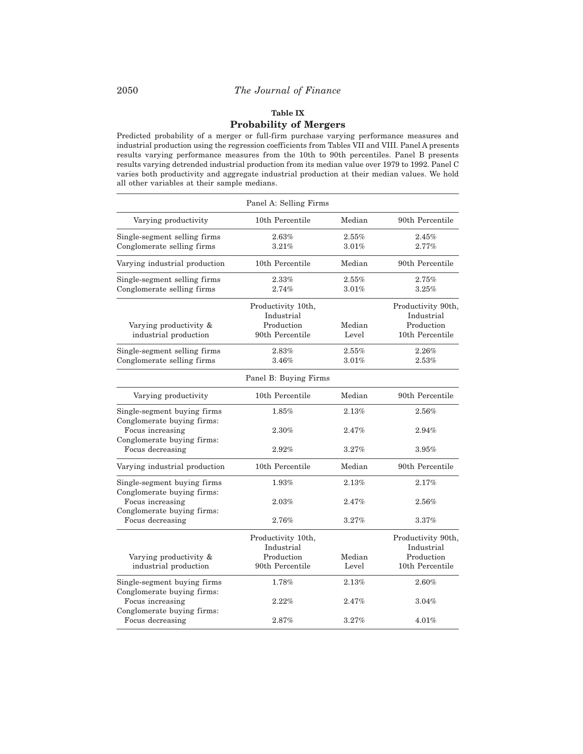### 2050 *The Journal of Finance*

### **Table IX**

# **Probability of Mergers**

Predicted probability of a merger or full-firm purchase varying performance measures and industrial production using the regression coefficients from Tables VII and VIII. Panel A presents results varying performance measures from the 10th to 90th percentiles. Panel B presents results varying detrended industrial production from its median value over 1979 to 1992. Panel C varies both productivity and aggregate industrial production at their median values. We hold all other variables at their sample medians.

|                                                                               | Panel A: Selling Firms                                            |                 |                                                                   |
|-------------------------------------------------------------------------------|-------------------------------------------------------------------|-----------------|-------------------------------------------------------------------|
| Varying productivity                                                          | 10th Percentile                                                   | Median          | 90th Percentile                                                   |
| Single-segment selling firms<br>Conglomerate selling firms                    | 2.63%<br>3.21%                                                    | 2.55%<br>3.01%  | 2.45%<br>2.77%                                                    |
| Varying industrial production                                                 | 10th Percentile                                                   | Median          | 90th Percentile                                                   |
| Single-segment selling firms<br>Conglomerate selling firms                    | 2.33%<br>2.74%                                                    | 2.55%<br>3.01%  | 2.75%<br>3.25%                                                    |
| Varying productivity &<br>industrial production                               | Productivity 10th,<br>Industrial<br>Production<br>90th Percentile | Median<br>Level | Productivity 90th,<br>Industrial<br>Production<br>10th Percentile |
| Single-segment selling firms<br>Conglomerate selling firms                    | 2.83%<br>3.46%                                                    | 2.55%<br>3.01%  | 2.26%<br>2.53%                                                    |
|                                                                               | Panel B: Buying Firms                                             |                 |                                                                   |
| Varying productivity                                                          | 10th Percentile                                                   | Median          | 90th Percentile                                                   |
| Single-segment buying firms<br>Conglomerate buying firms:                     | 1.85%                                                             | 2.13%           | 2.56%                                                             |
| Focus increasing<br>Conglomerate buying firms:<br>Focus decreasing            | 2.30%<br>2.92%                                                    | 2.47%<br>3.27%  | 2.94%<br>3.95%                                                    |
| Varying industrial production                                                 | 10th Percentile                                                   | Median          | 90th Percentile                                                   |
| Single-segment buying firms<br>Conglomerate buying firms:                     | 1.93%                                                             | 2.13%           | 2.17%                                                             |
| Focus increasing<br>Conglomerate buying firms:                                | 2.03%                                                             | 2.47%           | 2.56%                                                             |
| Focus decreasing                                                              | 2.76%                                                             | 3.27%           | 3.37%                                                             |
| Varying productivity &<br>industrial production                               | Productivity 10th,<br>Industrial<br>Production<br>90th Percentile | Median<br>Level | Productivity 90th,<br>Industrial<br>Production<br>10th Percentile |
| Single-segment buying firms<br>Conglomerate buying firms:<br>Focus increasing | 1.78%<br>2.22%                                                    | 2.13%<br>2.47%  | 2.60%<br>3.04%                                                    |
| Conglomerate buying firms:<br>Focus decreasing                                | 2.87%                                                             | 3.27%           | 4.01%                                                             |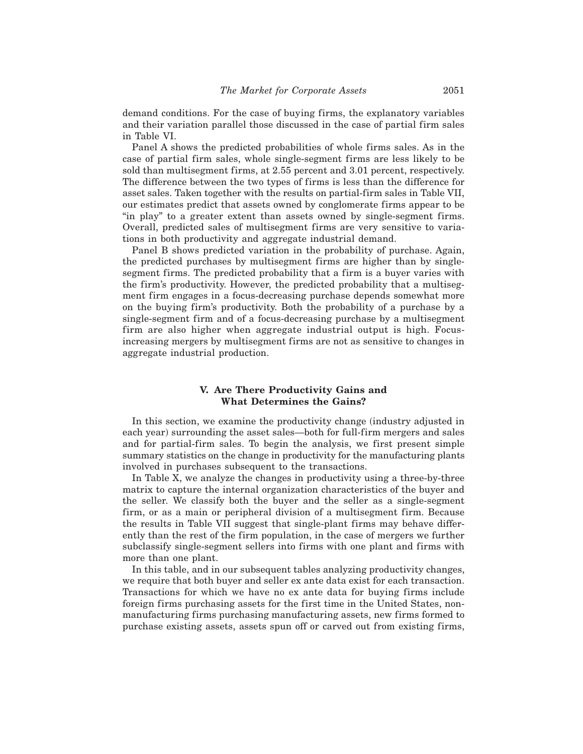demand conditions. For the case of buying firms, the explanatory variables and their variation parallel those discussed in the case of partial firm sales in Table VI.

Panel A shows the predicted probabilities of whole firms sales. As in the case of partial firm sales, whole single-segment firms are less likely to be sold than multisegment firms, at 2.55 percent and 3.01 percent, respectively. The difference between the two types of firms is less than the difference for asset sales. Taken together with the results on partial-firm sales in Table VII, our estimates predict that assets owned by conglomerate firms appear to be "in play" to a greater extent than assets owned by single-segment firms. Overall, predicted sales of multisegment firms are very sensitive to variations in both productivity and aggregate industrial demand.

Panel B shows predicted variation in the probability of purchase. Again, the predicted purchases by multisegment firms are higher than by singlesegment firms. The predicted probability that a firm is a buyer varies with the firm's productivity. However, the predicted probability that a multisegment firm engages in a focus-decreasing purchase depends somewhat more on the buying firm's productivity. Both the probability of a purchase by a single-segment firm and of a focus-decreasing purchase by a multisegment firm are also higher when aggregate industrial output is high. Focusincreasing mergers by multisegment firms are not as sensitive to changes in aggregate industrial production.

### **V. Are There Productivity Gains and What Determines the Gains?**

In this section, we examine the productivity change (industry adjusted in each year) surrounding the asset sales—both for full-firm mergers and sales and for partial-firm sales. To begin the analysis, we first present simple summary statistics on the change in productivity for the manufacturing plants involved in purchases subsequent to the transactions.

In Table X, we analyze the changes in productivity using a three-by-three matrix to capture the internal organization characteristics of the buyer and the seller. We classify both the buyer and the seller as a single-segment firm, or as a main or peripheral division of a multisegment firm. Because the results in Table VII suggest that single-plant firms may behave differently than the rest of the firm population, in the case of mergers we further subclassify single-segment sellers into firms with one plant and firms with more than one plant.

In this table, and in our subsequent tables analyzing productivity changes, we require that both buyer and seller ex ante data exist for each transaction. Transactions for which we have no ex ante data for buying firms include foreign firms purchasing assets for the first time in the United States, nonmanufacturing firms purchasing manufacturing assets, new firms formed to purchase existing assets, assets spun off or carved out from existing firms,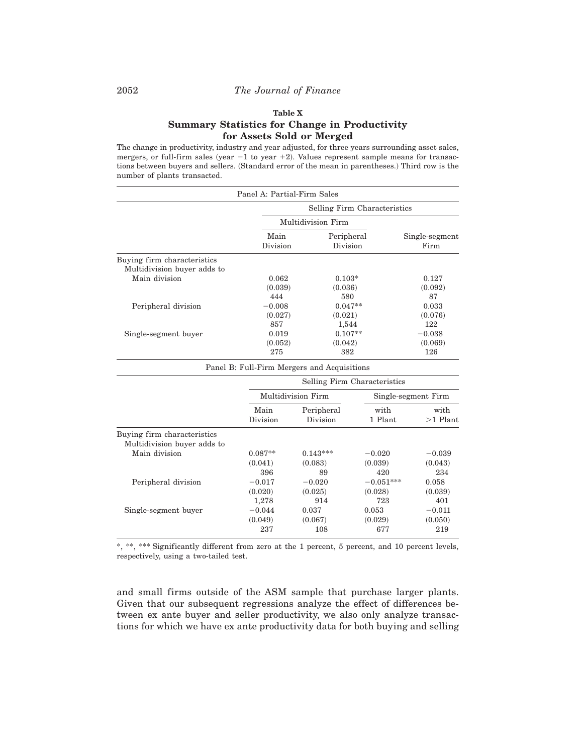### 2052 *The Journal of Finance*

# **Table X Summary Statistics for Change in Productivity for Assets Sold or Merged**

The change in productivity, industry and year adjusted, for three years surrounding asset sales, mergers, or full-firm sales (year  $-1$  to year  $+2$ ). Values represent sample means for transactions between buyers and sellers. (Standard error of the mean in parentheses.) Third row is the number of plants transacted.

|                                                            | Panel A: Partial-Firm Sales  |                                             |                              |                        |
|------------------------------------------------------------|------------------------------|---------------------------------------------|------------------------------|------------------------|
|                                                            |                              |                                             | Selling Firm Characteristics |                        |
|                                                            | Multidivision Firm           |                                             |                              |                        |
|                                                            | Main<br>Division             | Peripheral<br>Division                      |                              | Single-segment<br>Firm |
| Buying firm characteristics<br>Multidivision buyer adds to |                              |                                             |                              |                        |
| Main division                                              | 0.062                        | $0.103*$                                    |                              | 0.127                  |
|                                                            | (0.039)                      | (0.036)                                     |                              | (0.092)                |
|                                                            | 444                          | 580                                         |                              | 87                     |
| Peripheral division                                        | $-0.008$                     | $0.047**$                                   |                              | 0.033                  |
|                                                            | (0.027)                      | (0.021)                                     |                              | (0.076)                |
|                                                            | 857                          | 1,544                                       |                              | 122                    |
| Single-segment buyer                                       | 0.019                        | $0.107**$                                   |                              | $-0.038$               |
|                                                            | (0.052)                      | (0.042)                                     |                              | (0.069)                |
|                                                            | 275                          | 382                                         |                              | 126                    |
|                                                            |                              | Panel B: Full-Firm Mergers and Acquisitions |                              |                        |
|                                                            | Selling Firm Characteristics |                                             |                              |                        |
|                                                            | Multidivision Firm           |                                             | Single-segment Firm          |                        |
|                                                            | Main<br>Division             | Peripheral<br>Division                      | with<br>1 Plant              | with<br>$>1$ Plant     |
| Buying firm characteristics<br>Multidivision buyer adds to |                              |                                             |                              |                        |
| Main division                                              | $0.087**$                    | $0.143***$                                  | $-0.020$                     | $-0.039$               |
|                                                            | (0.041)                      | (0.083)                                     | (0.039)                      | (0.043)                |
|                                                            | 396                          | 89                                          | 420                          | 234                    |
| Peripheral division                                        | $-0.017$                     | $-0.020$                                    | $-0.051***$                  | 0.058                  |
|                                                            | (0.020)                      | (0.025)                                     | (0.028)                      | (0.039)                |
|                                                            | 1,278                        | 914                                         | 723                          | 401                    |
| Single-segment buyer                                       | $-0.044$                     | 0.037                                       | 0.053                        | $-0.011$               |
|                                                            | (0.049)                      | (0.067)                                     | (0.029)                      | (0.050)                |
|                                                            | 237                          | 108                                         | 677                          | 219                    |

\*, \*\*, \*\*\* Significantly different from zero at the 1 percent, 5 percent, and 10 percent levels, respectively, using a two-tailed test.

and small firms outside of the ASM sample that purchase larger plants. Given that our subsequent regressions analyze the effect of differences between ex ante buyer and seller productivity, we also only analyze transactions for which we have ex ante productivity data for both buying and selling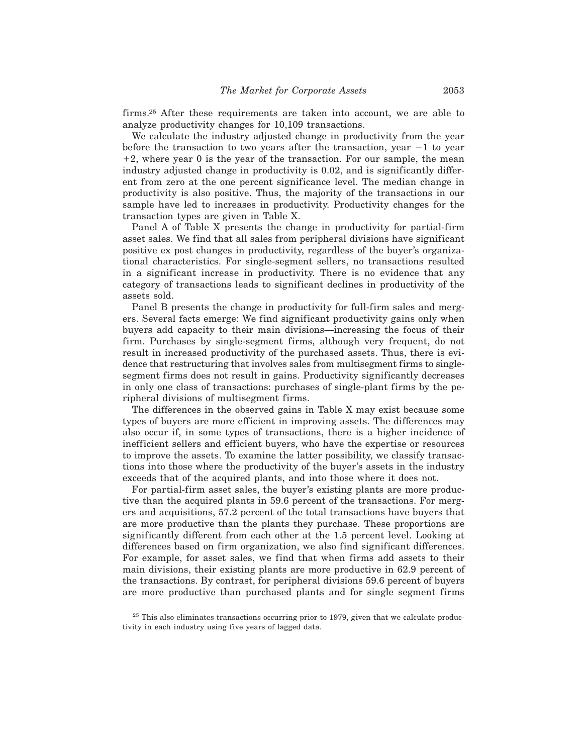firms.25 After these requirements are taken into account, we are able to analyze productivity changes for 10,109 transactions.

We calculate the industry adjusted change in productivity from the year before the transaction to two years after the transaction, year  $-1$  to year  $+2$ , where year 0 is the year of the transaction. For our sample, the mean industry adjusted change in productivity is 0.02, and is significantly different from zero at the one percent significance level. The median change in productivity is also positive. Thus, the majority of the transactions in our sample have led to increases in productivity. Productivity changes for the transaction types are given in Table X.

Panel A of Table X presents the change in productivity for partial-firm asset sales. We find that all sales from peripheral divisions have significant positive ex post changes in productivity, regardless of the buyer's organizational characteristics. For single-segment sellers, no transactions resulted in a significant increase in productivity. There is no evidence that any category of transactions leads to significant declines in productivity of the assets sold.

Panel B presents the change in productivity for full-firm sales and mergers. Several facts emerge: We find significant productivity gains only when buyers add capacity to their main divisions—increasing the focus of their firm. Purchases by single-segment firms, although very frequent, do not result in increased productivity of the purchased assets. Thus, there is evidence that restructuring that involves sales from multisegment firms to singlesegment firms does not result in gains. Productivity significantly decreases in only one class of transactions: purchases of single-plant firms by the peripheral divisions of multisegment firms.

The differences in the observed gains in Table X may exist because some types of buyers are more efficient in improving assets. The differences may also occur if, in some types of transactions, there is a higher incidence of inefficient sellers and efficient buyers, who have the expertise or resources to improve the assets. To examine the latter possibility, we classify transactions into those where the productivity of the buyer's assets in the industry exceeds that of the acquired plants, and into those where it does not.

For partial-firm asset sales, the buyer's existing plants are more productive than the acquired plants in 59.6 percent of the transactions. For mergers and acquisitions, 57.2 percent of the total transactions have buyers that are more productive than the plants they purchase. These proportions are significantly different from each other at the 1.5 percent level. Looking at differences based on firm organization, we also find significant differences. For example, for asset sales, we find that when firms add assets to their main divisions, their existing plants are more productive in 62.9 percent of the transactions. By contrast, for peripheral divisions 59.6 percent of buyers are more productive than purchased plants and for single segment firms

 $25$  This also eliminates transactions occurring prior to 1979, given that we calculate productivity in each industry using five years of lagged data.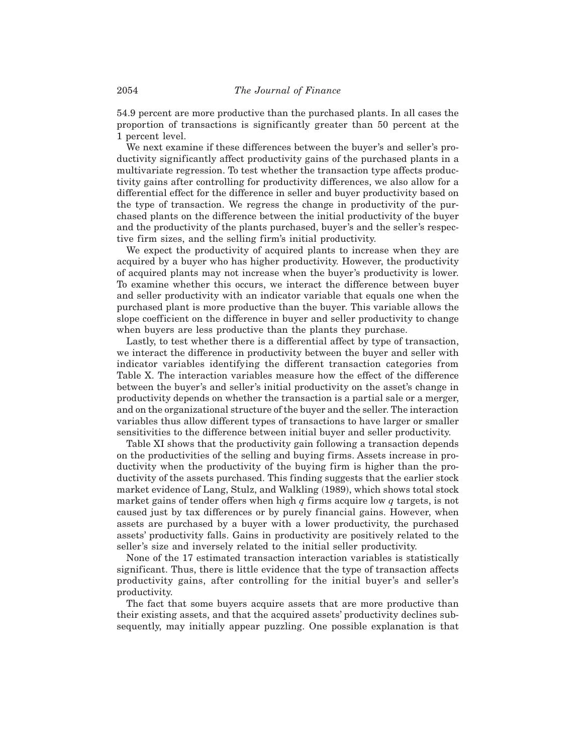54.9 percent are more productive than the purchased plants. In all cases the proportion of transactions is significantly greater than 50 percent at the 1 percent level.

We next examine if these differences between the buyer's and seller's productivity significantly affect productivity gains of the purchased plants in a multivariate regression. To test whether the transaction type affects productivity gains after controlling for productivity differences, we also allow for a differential effect for the difference in seller and buyer productivity based on the type of transaction. We regress the change in productivity of the purchased plants on the difference between the initial productivity of the buyer and the productivity of the plants purchased, buyer's and the seller's respective firm sizes, and the selling firm's initial productivity.

We expect the productivity of acquired plants to increase when they are acquired by a buyer who has higher productivity. However, the productivity of acquired plants may not increase when the buyer's productivity is lower. To examine whether this occurs, we interact the difference between buyer and seller productivity with an indicator variable that equals one when the purchased plant is more productive than the buyer. This variable allows the slope coefficient on the difference in buyer and seller productivity to change when buyers are less productive than the plants they purchase.

Lastly, to test whether there is a differential affect by type of transaction, we interact the difference in productivity between the buyer and seller with indicator variables identifying the different transaction categories from Table X. The interaction variables measure how the effect of the difference between the buyer's and seller's initial productivity on the asset's change in productivity depends on whether the transaction is a partial sale or a merger, and on the organizational structure of the buyer and the seller. The interaction variables thus allow different types of transactions to have larger or smaller sensitivities to the difference between initial buyer and seller productivity.

Table XI shows that the productivity gain following a transaction depends on the productivities of the selling and buying firms. Assets increase in productivity when the productivity of the buying firm is higher than the productivity of the assets purchased. This finding suggests that the earlier stock market evidence of Lang, Stulz, and Walkling (1989), which shows total stock market gains of tender offers when high *q* firms acquire low *q* targets, is not caused just by tax differences or by purely financial gains. However, when assets are purchased by a buyer with a lower productivity, the purchased assets' productivity falls. Gains in productivity are positively related to the seller's size and inversely related to the initial seller productivity.

None of the 17 estimated transaction interaction variables is statistically significant. Thus, there is little evidence that the type of transaction affects productivity gains, after controlling for the initial buyer's and seller's productivity.

The fact that some buyers acquire assets that are more productive than their existing assets, and that the acquired assets' productivity declines subsequently, may initially appear puzzling. One possible explanation is that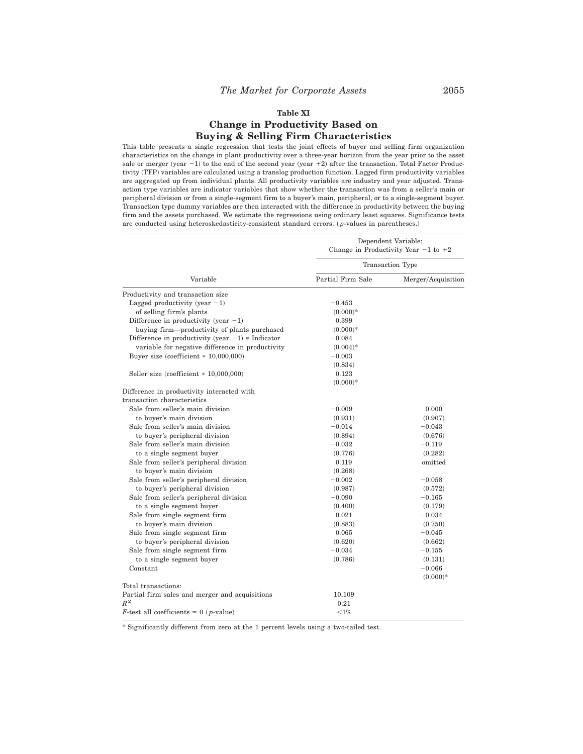# **Table XI Change in Productivity Based on Buying & Selling Firm Characteristics**

This table presents a single regression that tests the joint effects of buyer and selling firm organization characteristics on the change in plant productivity over a three-year horizon from the year prior to the asset sale or merger (year  $-1$ ) to the end of the second year (year  $+2$ ) after the transaction. Total Factor Productivity (TFP) variables are calculated using a translog production function. Lagged firm productivity variables are aggregated up from individual plants. All productivity variables are industry and year adjusted. Transaction type variables are indicator variables that show whether the transaction was from a seller's main or peripheral division or from a single-segment firm to a buyer's main, peripheral, or to a single-segment buyer. Transaction type dummy variables are then interacted with the difference in productivity between the buying firm and the assets purchased. We estimate the regressions using ordinary least squares. Significance tests are conducted using heteroskedasticity-consistent standard errors. (p-values in parentheses.)

|                                                        | Dependent Variable:<br>Change in Productivity Year $-1$ to $+2$<br>Transaction Type |                    |  |
|--------------------------------------------------------|-------------------------------------------------------------------------------------|--------------------|--|
|                                                        |                                                                                     |                    |  |
| Variable                                               | Partial Firm Sale                                                                   | Merger/Acquisition |  |
| Productivity and transaction size                      |                                                                                     |                    |  |
| Lagged productivity (year $-1$ )                       | $-0.453$                                                                            |                    |  |
| of selling firm's plants                               | $(0.000)*$                                                                          |                    |  |
| Difference in productivity (year $-1$ )                | 0.399                                                                               |                    |  |
| buying firm—productivity of plants purchased           | $(0.000)*$                                                                          |                    |  |
| Difference in productivity (year $-1$ ) * Indicator    | $-0.084$                                                                            |                    |  |
| variable for negative difference in productivity       | $(0.004)$ *                                                                         |                    |  |
| Buyer size (coefficient $* 10,000,000$ )               | $-0.003$                                                                            |                    |  |
|                                                        | (0.834)                                                                             |                    |  |
| Seller size (coefficient * 10,000,000)                 | 0.123                                                                               |                    |  |
|                                                        | $(0.000)*$                                                                          |                    |  |
| Difference in productivity interacted with             |                                                                                     |                    |  |
| transaction characteristics                            |                                                                                     |                    |  |
| Sale from seller's main division                       | $-0.009$                                                                            | 0.000              |  |
| to buyer's main division                               | (0.931)                                                                             | (0.907)            |  |
| Sale from seller's main division                       | $-0.014$                                                                            | $-0.043$           |  |
| to buyer's peripheral division                         | (0.894)                                                                             | (0.676)            |  |
| Sale from seller's main division                       | $-0.032$                                                                            | $-0.119$           |  |
| to a single segment buyer                              | (0.776)                                                                             | (0.282)            |  |
| Sale from seller's peripheral division                 | 0.119                                                                               | omitted            |  |
| to buyer's main division                               | (0.268)                                                                             |                    |  |
| Sale from seller's peripheral division                 | $-0.002$                                                                            | $-0.058$           |  |
| to buyer's peripheral division                         | (0.987)                                                                             | (0.572)            |  |
| Sale from seller's peripheral division                 | $-0.090$                                                                            | $-0.165$           |  |
| to a single segment buyer                              | (0.400)                                                                             | (0.179)            |  |
| Sale from single segment firm                          | 0.021                                                                               | $-0.034$           |  |
| to buyer's main division                               | (0.883)                                                                             | (0.750)            |  |
| Sale from single segment firm                          | 0.065                                                                               | $-0.045$           |  |
| to buyer's peripheral division                         | (0.620)                                                                             | (0.662)            |  |
| Sale from single segment firm                          | $-0.034$                                                                            | $-0.155$           |  |
| to a single segment buyer                              | (0.786)                                                                             | (0.131)            |  |
| Constant                                               |                                                                                     | $-0.066$           |  |
|                                                        |                                                                                     | $(0.000)*$         |  |
| Total transactions:                                    |                                                                                     |                    |  |
| Partial firm sales and merger and acquisitions         | 10,109                                                                              |                    |  |
| $R^2$                                                  | 0.21                                                                                |                    |  |
| <i>F</i> -test all coefficients = 0 ( <i>p</i> -value) | ${<}1\%$                                                                            |                    |  |

\* Significantly different from zero at the 1 percent levels using a two-tailed test.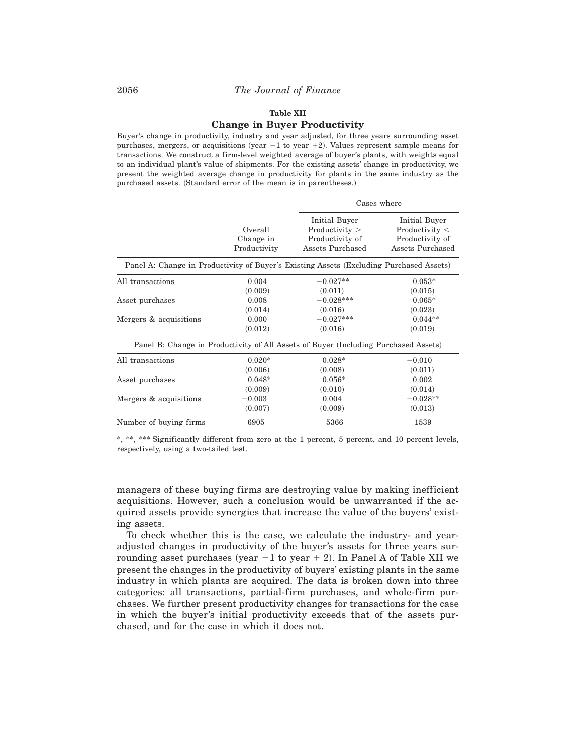### 2056 *The Journal of Finance*

#### **Table XII**

### **Change in Buyer Productivity**

Buyer's change in productivity, industry and year adjusted, for three years surrounding asset purchases, mergers, or acquisitions (year  $-1$  to year  $+2$ ). Values represent sample means for transactions. We construct a firm-level weighted average of buyer's plants, with weights equal to an individual plant's value of shipments. For the existing assets' change in productivity, we present the weighted average change in productivity for plants in the same industry as the purchased assets. (Standard error of the mean is in parentheses.)

|                                                                                         |                                      |                                                                                     | Cases where                                                              |  |
|-----------------------------------------------------------------------------------------|--------------------------------------|-------------------------------------------------------------------------------------|--------------------------------------------------------------------------|--|
|                                                                                         | Overall<br>Change in<br>Productivity | Initial Buyer<br>Productivity<br>Productivity of<br>Assets Purchased                | Initial Buyer<br>Productivity $<$<br>Productivity of<br>Assets Purchased |  |
| Panel A: Change in Productivity of Buyer's Existing Assets (Excluding Purchased Assets) |                                      |                                                                                     |                                                                          |  |
| All transactions                                                                        | 0.004                                | $-0.027**$                                                                          | $0.053*$                                                                 |  |
|                                                                                         | (0.009)                              | (0.011)                                                                             | (0.015)                                                                  |  |
| Asset purchases                                                                         | 0.008                                | $-0.028***$                                                                         | $0.065*$                                                                 |  |
|                                                                                         | (0.014)                              | (0.016)                                                                             | (0.023)                                                                  |  |
| Mergers & acquisitions                                                                  | 0.000                                | $-0.027***$                                                                         | $0.044**$                                                                |  |
|                                                                                         | (0.012)                              | (0.016)                                                                             | (0.019)                                                                  |  |
|                                                                                         |                                      | Panel B: Change in Productivity of All Assets of Buyer (Including Purchased Assets) |                                                                          |  |
| All transactions                                                                        | $0.020*$                             | $0.028*$                                                                            | $-0.010$                                                                 |  |
|                                                                                         | (0.006)                              | (0.008)                                                                             | (0.011)                                                                  |  |
| Asset purchases                                                                         | $0.048*$                             | $0.056*$                                                                            | 0.002                                                                    |  |
|                                                                                         | (0.009)                              | (0.010)                                                                             | (0.014)                                                                  |  |
| Mergers & acquisitions                                                                  | $-0.003$                             | 0.004                                                                               | $-0.028**$                                                               |  |
|                                                                                         | (0.007)                              | (0.009)                                                                             | (0.013)                                                                  |  |
| Number of buying firms                                                                  | 6905                                 | 5366                                                                                | 1539                                                                     |  |

\*, \*\*, \*\*\* Significantly different from zero at the 1 percent, 5 percent, and 10 percent levels, respectively, using a two-tailed test.

managers of these buying firms are destroying value by making inefficient acquisitions. However, such a conclusion would be unwarranted if the acquired assets provide synergies that increase the value of the buyers' existing assets.

To check whether this is the case, we calculate the industry- and yearadjusted changes in productivity of the buyer's assets for three years surrounding asset purchases (year  $-1$  to year  $+ 2$ ). In Panel A of Table XII we present the changes in the productivity of buyers' existing plants in the same industry in which plants are acquired. The data is broken down into three categories: all transactions, partial-firm purchases, and whole-firm purchases. We further present productivity changes for transactions for the case in which the buyer's initial productivity exceeds that of the assets purchased, and for the case in which it does not.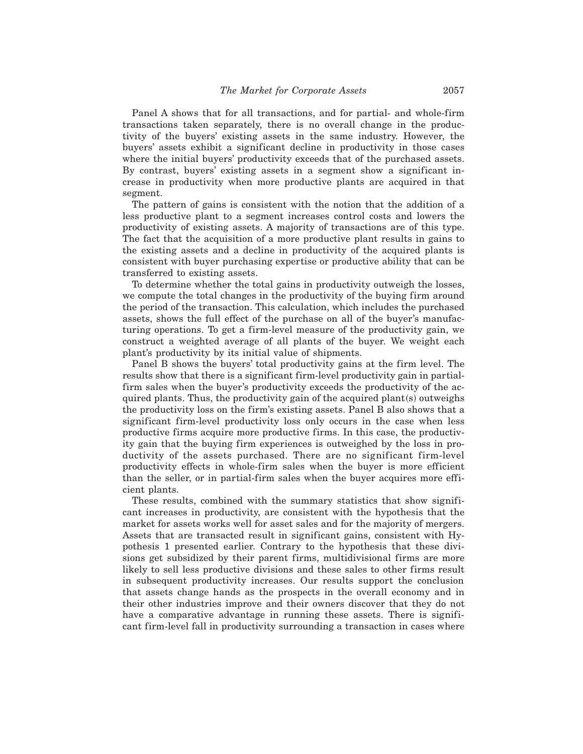Panel A shows that for all transactions, and for partial- and whole-firm transactions taken separately, there is no overall change in the productivity of the buyers' existing assets in the same industry. However, the buyers' assets exhibit a significant decline in productivity in those cases where the initial buyers' productivity exceeds that of the purchased assets. By contrast, buyers' existing assets in a segment show a significant increase in productivity when more productive plants are acquired in that segment.

The pattern of gains is consistent with the notion that the addition of a less productive plant to a segment increases control costs and lowers the productivity of existing assets. A majority of transactions are of this type. The fact that the acquisition of a more productive plant results in gains to the existing assets and a decline in productivity of the acquired plants is consistent with buyer purchasing expertise or productive ability that can be transferred to existing assets.

To determine whether the total gains in productivity outweigh the losses, we compute the total changes in the productivity of the buying firm around the period of the transaction. This calculation, which includes the purchased assets, shows the full effect of the purchase on all of the buyer's manufacturing operations. To get a firm-level measure of the productivity gain, we construct a weighted average of all plants of the buyer. We weight each plant's productivity by its initial value of shipments.

Panel B shows the buyers' total productivity gains at the firm level. The results show that there is a significant firm-level productivity gain in partialfirm sales when the buyer's productivity exceeds the productivity of the acquired plants. Thus, the productivity gain of the acquired plant $(s)$  outweighs the productivity loss on the firm's existing assets. Panel B also shows that a significant firm-level productivity loss only occurs in the case when less productive firms acquire more productive firms. In this case, the productivity gain that the buying firm experiences is outweighed by the loss in productivity of the assets purchased. There are no significant firm-level productivity effects in whole-firm sales when the buyer is more efficient than the seller, or in partial-firm sales when the buyer acquires more efficient plants.

These results, combined with the summary statistics that show significant increases in productivity, are consistent with the hypothesis that the market for assets works well for asset sales and for the majority of mergers. Assets that are transacted result in significant gains, consistent with Hypothesis 1 presented earlier. Contrary to the hypothesis that these divisions get subsidized by their parent firms, multidivisional firms are more likely to sell less productive divisions and these sales to other firms result in subsequent productivity increases. Our results support the conclusion that assets change hands as the prospects in the overall economy and in their other industries improve and their owners discover that they do not have a comparative advantage in running these assets. There is significant firm-level fall in productivity surrounding a transaction in cases where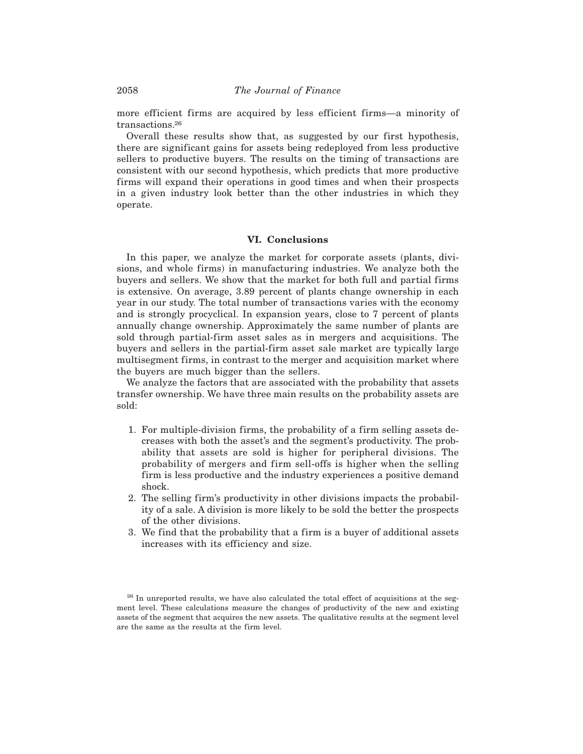more efficient firms are acquired by less efficient firms—a minority of transactions.26

Overall these results show that, as suggested by our first hypothesis, there are significant gains for assets being redeployed from less productive sellers to productive buyers. The results on the timing of transactions are consistent with our second hypothesis, which predicts that more productive firms will expand their operations in good times and when their prospects in a given industry look better than the other industries in which they operate.

### **VI. Conclusions**

In this paper, we analyze the market for corporate assets (plants, divisions, and whole firms) in manufacturing industries. We analyze both the buyers and sellers. We show that the market for both full and partial firms is extensive. On average, 3.89 percent of plants change ownership in each year in our study. The total number of transactions varies with the economy and is strongly procyclical. In expansion years, close to 7 percent of plants annually change ownership. Approximately the same number of plants are sold through partial-firm asset sales as in mergers and acquisitions. The buyers and sellers in the partial-firm asset sale market are typically large multisegment firms, in contrast to the merger and acquisition market where the buyers are much bigger than the sellers.

We analyze the factors that are associated with the probability that assets transfer ownership. We have three main results on the probability assets are sold:

- 1. For multiple-division firms, the probability of a firm selling assets decreases with both the asset's and the segment's productivity. The probability that assets are sold is higher for peripheral divisions. The probability of mergers and firm sell-offs is higher when the selling firm is less productive and the industry experiences a positive demand shock.
- 2. The selling firm's productivity in other divisions impacts the probability of a sale. A division is more likely to be sold the better the prospects of the other divisions.
- 3. We find that the probability that a firm is a buyer of additional assets increases with its efficiency and size.

<sup>&</sup>lt;sup>26</sup> In unreported results, we have also calculated the total effect of acquisitions at the segment level. These calculations measure the changes of productivity of the new and existing assets of the segment that acquires the new assets. The qualitative results at the segment level are the same as the results at the firm level.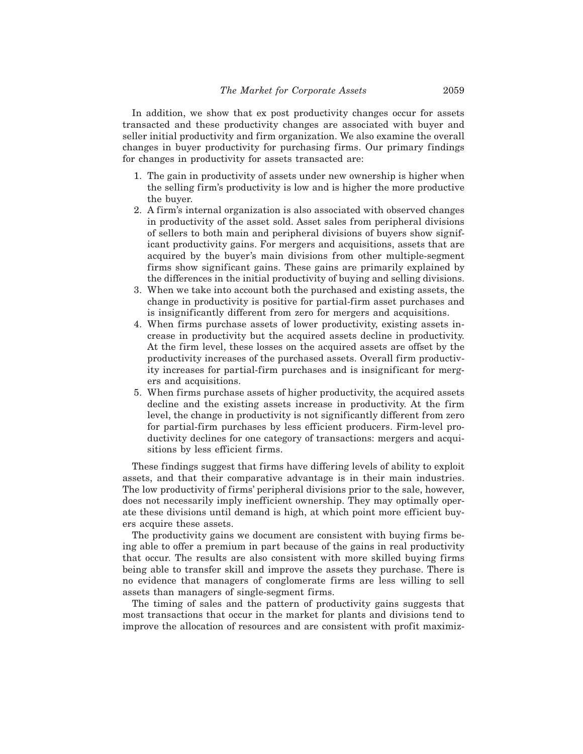In addition, we show that ex post productivity changes occur for assets transacted and these productivity changes are associated with buyer and seller initial productivity and firm organization. We also examine the overall changes in buyer productivity for purchasing firms. Our primary findings for changes in productivity for assets transacted are:

- 1. The gain in productivity of assets under new ownership is higher when the selling firm's productivity is low and is higher the more productive the buyer.
- 2. A firm's internal organization is also associated with observed changes in productivity of the asset sold. Asset sales from peripheral divisions of sellers to both main and peripheral divisions of buyers show significant productivity gains. For mergers and acquisitions, assets that are acquired by the buyer's main divisions from other multiple-segment firms show significant gains. These gains are primarily explained by the differences in the initial productivity of buying and selling divisions.
- 3. When we take into account both the purchased and existing assets, the change in productivity is positive for partial-firm asset purchases and is insignificantly different from zero for mergers and acquisitions.
- 4. When firms purchase assets of lower productivity, existing assets increase in productivity but the acquired assets decline in productivity. At the firm level, these losses on the acquired assets are offset by the productivity increases of the purchased assets. Overall firm productivity increases for partial-firm purchases and is insignificant for mergers and acquisitions.
- 5. When firms purchase assets of higher productivity, the acquired assets decline and the existing assets increase in productivity. At the firm level, the change in productivity is not significantly different from zero for partial-firm purchases by less efficient producers. Firm-level productivity declines for one category of transactions: mergers and acquisitions by less efficient firms.

These findings suggest that firms have differing levels of ability to exploit assets, and that their comparative advantage is in their main industries. The low productivity of firms' peripheral divisions prior to the sale, however, does not necessarily imply inefficient ownership. They may optimally operate these divisions until demand is high, at which point more efficient buyers acquire these assets.

The productivity gains we document are consistent with buying firms being able to offer a premium in part because of the gains in real productivity that occur. The results are also consistent with more skilled buying firms being able to transfer skill and improve the assets they purchase. There is no evidence that managers of conglomerate firms are less willing to sell assets than managers of single-segment firms.

The timing of sales and the pattern of productivity gains suggests that most transactions that occur in the market for plants and divisions tend to improve the allocation of resources and are consistent with profit maximiz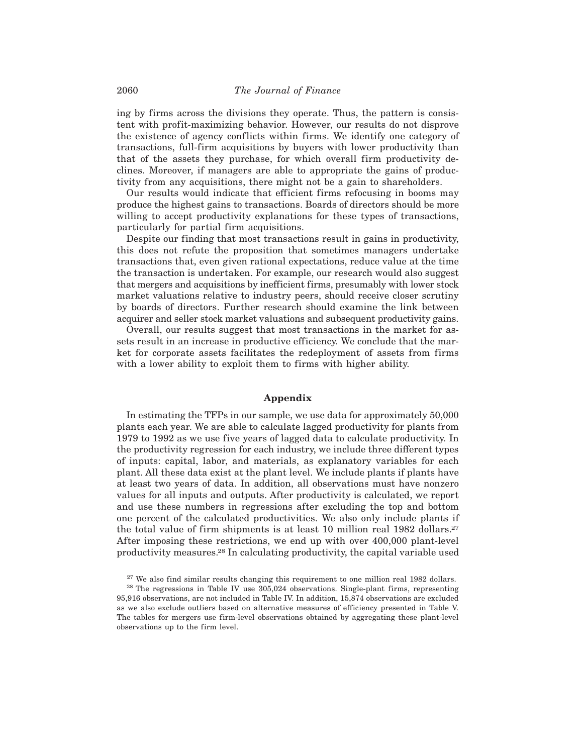ing by firms across the divisions they operate. Thus, the pattern is consistent with profit-maximizing behavior. However, our results do not disprove the existence of agency conflicts within firms. We identify one category of transactions, full-firm acquisitions by buyers with lower productivity than that of the assets they purchase, for which overall firm productivity declines. Moreover, if managers are able to appropriate the gains of productivity from any acquisitions, there might not be a gain to shareholders.

Our results would indicate that efficient firms refocusing in booms may produce the highest gains to transactions. Boards of directors should be more willing to accept productivity explanations for these types of transactions, particularly for partial firm acquisitions.

Despite our finding that most transactions result in gains in productivity, this does not refute the proposition that sometimes managers undertake transactions that, even given rational expectations, reduce value at the time the transaction is undertaken. For example, our research would also suggest that mergers and acquisitions by inefficient firms, presumably with lower stock market valuations relative to industry peers, should receive closer scrutiny by boards of directors. Further research should examine the link between acquirer and seller stock market valuations and subsequent productivity gains.

Overall, our results suggest that most transactions in the market for assets result in an increase in productive efficiency. We conclude that the market for corporate assets facilitates the redeployment of assets from firms with a lower ability to exploit them to firms with higher ability.

#### **Appendix**

In estimating the TFPs in our sample, we use data for approximately 50,000 plants each year. We are able to calculate lagged productivity for plants from 1979 to 1992 as we use five years of lagged data to calculate productivity. In the productivity regression for each industry, we include three different types of inputs: capital, labor, and materials, as explanatory variables for each plant. All these data exist at the plant level. We include plants if plants have at least two years of data. In addition, all observations must have nonzero values for all inputs and outputs. After productivity is calculated, we report and use these numbers in regressions after excluding the top and bottom one percent of the calculated productivities. We also only include plants if the total value of firm shipments is at least 10 million real 1982 dollars.<sup>27</sup> After imposing these restrictions, we end up with over 400,000 plant-level productivity measures.28 In calculating productivity, the capital variable used

 $27$  We also find similar results changing this requirement to one million real 1982 dollars.

 $28$  The regressions in Table IV use  $305,024$  observations. Single-plant firms, representing 95,916 observations, are not included in Table IV. In addition, 15,874 observations are excluded as we also exclude outliers based on alternative measures of efficiency presented in Table V. The tables for mergers use firm-level observations obtained by aggregating these plant-level observations up to the firm level.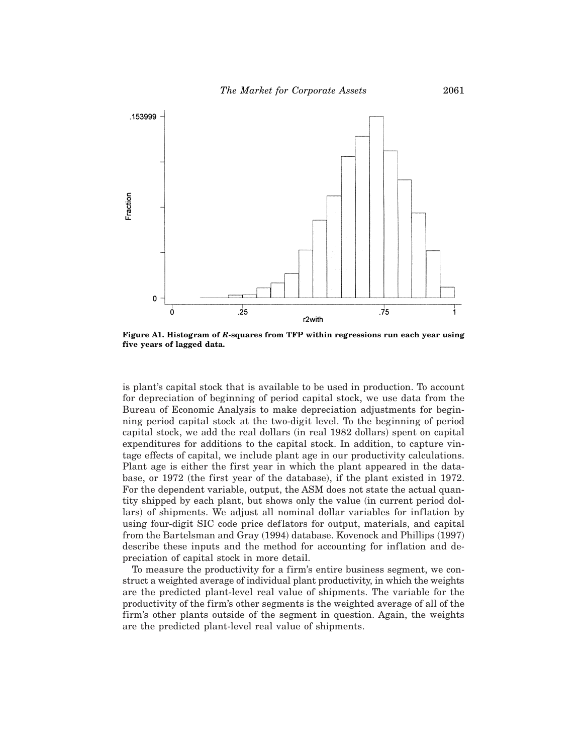

**Figure A1. Histogram of** *R***-squares from TFP within regressions run each year using five years of lagged data.**

is plant's capital stock that is available to be used in production. To account for depreciation of beginning of period capital stock, we use data from the Bureau of Economic Analysis to make depreciation adjustments for beginning period capital stock at the two-digit level. To the beginning of period capital stock, we add the real dollars (in real 1982 dollars) spent on capital expenditures for additions to the capital stock. In addition, to capture vintage effects of capital, we include plant age in our productivity calculations. Plant age is either the first year in which the plant appeared in the database, or 1972 (the first year of the database), if the plant existed in 1972. For the dependent variable, output, the ASM does not state the actual quantity shipped by each plant, but shows only the value (in current period dollars) of shipments. We adjust all nominal dollar variables for inflation by using four-digit SIC code price deflators for output, materials, and capital from the Bartelsman and Gray (1994) database. Kovenock and Phillips (1997) describe these inputs and the method for accounting for inflation and depreciation of capital stock in more detail.

To measure the productivity for a firm's entire business segment, we construct a weighted average of individual plant productivity, in which the weights are the predicted plant-level real value of shipments. The variable for the productivity of the firm's other segments is the weighted average of all of the firm's other plants outside of the segment in question. Again, the weights are the predicted plant-level real value of shipments.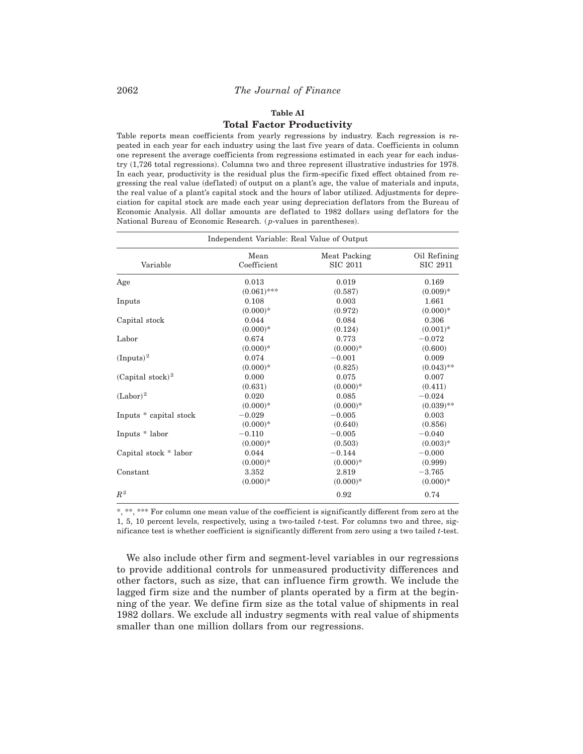#### **Table AI**

### **Total Factor Productivity**

Table reports mean coefficients from yearly regressions by industry. Each regression is repeated in each year for each industry using the last five years of data. Coefficients in column one represent the average coefficients from regressions estimated in each year for each industry  $(1,726$  total regressions). Columns two and three represent illustrative industries for 1978. In each year, productivity is the residual plus the firm-specific fixed effect obtained from regressing the real value (deflated) of output on a plant's age, the value of materials and inputs, the real value of a plant's capital stock and the hours of labor utilized. Adjustments for depreciation for capital stock are made each year using depreciation deflators from the Bureau of Economic Analysis. All dollar amounts are deflated to 1982 dollars using deflators for the National Bureau of Economic Research. (p-values in parentheses).

| Independent Variable: Real Value of Output |                     |                                 |                                 |  |
|--------------------------------------------|---------------------|---------------------------------|---------------------------------|--|
| Variable                                   | Mean<br>Coefficient | Meat Packing<br><b>SIC 2011</b> | Oil Refining<br><b>SIC 2911</b> |  |
| Age                                        | 0.013               | 0.019                           | 0.169                           |  |
|                                            | $(0.061)$ ***       | (0.587)                         | $(0.009)*$                      |  |
| Inputs                                     | 0.108               | 0.003                           | 1.661                           |  |
|                                            | $(0.000)*$          | (0.972)                         | $(0.000)*$                      |  |
| Capital stock                              | 0.044               | 0.084                           | 0.306                           |  |
|                                            | $(0.000)*$          | (0.124)                         | $(0.001)$ *                     |  |
| Labor                                      | 0.674               | 0.773                           | $-0.072$                        |  |
|                                            | $(0.000)*$          | $(0.000)*$                      | (0.600)                         |  |
| $($ Inputs $)^2$                           | 0.074               | $-0.001$                        | 0.009                           |  |
|                                            | $(0.000)*$          | (0.825)                         | $(0.043)$ **                    |  |
| $(Capital stock)^2$                        | 0.000               | 0.075                           | 0.007                           |  |
|                                            | (0.631)             | $(0.000)*$                      | (0.411)                         |  |
| $(Labor)^2$                                | 0.020               | 0.085                           | $-0.024$                        |  |
|                                            | $(0.000)*$          | $(0.000)*$                      | $(0.039)$ **                    |  |
| Inputs * capital stock                     | $-0.029$            | $-0.005$                        | 0.003                           |  |
|                                            | $(0.000)*$          | (0.640)                         | (0.856)                         |  |
| Inputs * labor                             | $-0.110$            | $-0.005$                        | $-0.040$                        |  |
|                                            | $(0.000)*$          | (0.503)                         | $(0.003)*$                      |  |
| Capital stock * labor                      | 0.044               | $-0.144$                        | $-0.000$                        |  |
|                                            | $(0.000)*$          | $(0.000)*$                      | (0.999)                         |  |
| Constant                                   | 3.352               | 2.819                           | $-3.765$                        |  |
|                                            | $(0.000)*$          | $(0.000)*$                      | $(0.000)*$                      |  |
| $R^2$                                      |                     | 0.92                            | 0.74                            |  |

\*, \*\*, \*\*\* For column one mean value of the coefficient is significantly different from zero at the 1, 5, 10 percent levels, respectively, using a two-tailed *t*-test. For columns two and three, significance test is whether coefficient is significantly different from zero using a two tailed *t*-test.

We also include other firm and segment-level variables in our regressions to provide additional controls for unmeasured productivity differences and other factors, such as size, that can influence firm growth. We include the lagged firm size and the number of plants operated by a firm at the beginning of the year. We define firm size as the total value of shipments in real 1982 dollars. We exclude all industry segments with real value of shipments smaller than one million dollars from our regressions.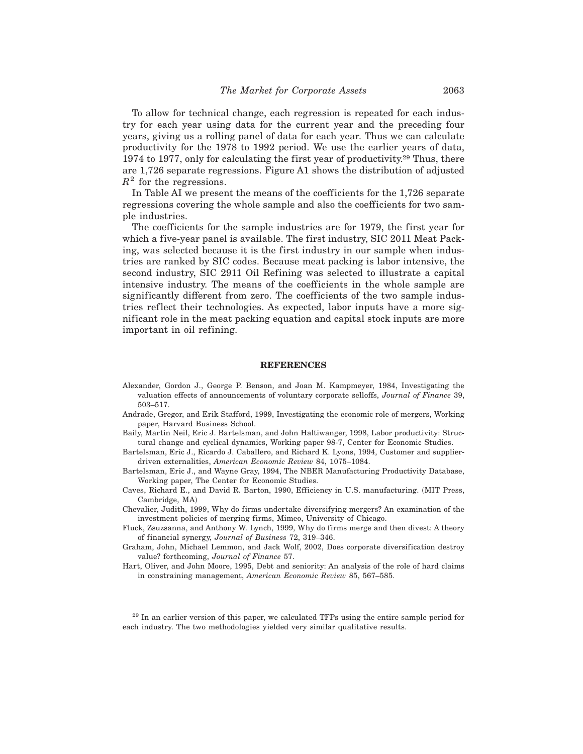To allow for technical change, each regression is repeated for each industry for each year using data for the current year and the preceding four years, giving us a rolling panel of data for each year. Thus we can calculate productivity for the 1978 to 1992 period. We use the earlier years of data, 1974 to 1977, only for calculating the first year of productivity.29 Thus, there are 1,726 separate regressions. Figure A1 shows the distribution of adjusted *R*<sup>2</sup> for the regressions.

In Table AI we present the means of the coefficients for the 1,726 separate regressions covering the whole sample and also the coefficients for two sample industries.

The coefficients for the sample industries are for 1979, the first year for which a five-year panel is available. The first industry, SIC 2011 Meat Packing, was selected because it is the first industry in our sample when industries are ranked by SIC codes. Because meat packing is labor intensive, the second industry, SIC 2911 Oil Refining was selected to illustrate a capital intensive industry. The means of the coefficients in the whole sample are significantly different from zero. The coefficients of the two sample industries reflect their technologies. As expected, labor inputs have a more significant role in the meat packing equation and capital stock inputs are more important in oil refining.

#### **REFERENCES**

- Alexander, Gordon J., George P. Benson, and Joan M. Kampmeyer, 1984, Investigating the valuation effects of announcements of voluntary corporate selloffs, *Journal of Finance* 39, 503–517.
- Andrade, Gregor, and Erik Stafford, 1999, Investigating the economic role of mergers, Working paper, Harvard Business School.
- Baily, Martin Neil, Eric J. Bartelsman, and John Haltiwanger, 1998, Labor productivity: Structural change and cyclical dynamics, Working paper 98-7, Center for Economic Studies.
- Bartelsman, Eric J., Ricardo J. Caballero, and Richard K. Lyons, 1994, Customer and supplierdriven externalities, *American Economic Review* 84, 1075–1084.
- Bartelsman, Eric J., and Wayne Gray, 1994, The NBER Manufacturing Productivity Database, Working paper, The Center for Economic Studies.
- Caves, Richard E., and David R. Barton, 1990, Efficiency in U.S. manufacturing. (MIT Press, Cambridge, MA)
- Chevalier, Judith, 1999, Why do firms undertake diversifying mergers? An examination of the investment policies of merging firms, Mimeo, University of Chicago.
- Fluck, Zsuzsanna, and Anthony W. Lynch, 1999, Why do firms merge and then divest: A theory of financial synergy, *Journal of Business* 72, 319–346.
- Graham, John, Michael Lemmon, and Jack Wolf, 2002, Does corporate diversification destroy value? forthcoming, *Journal of Finance* 57.
- Hart, Oliver, and John Moore, 1995, Debt and seniority: An analysis of the role of hard claims in constraining management, *American Economic Review* 85, 567–585.

<sup>29</sup> In an earlier version of this paper, we calculated TFPs using the entire sample period for each industry. The two methodologies yielded very similar qualitative results.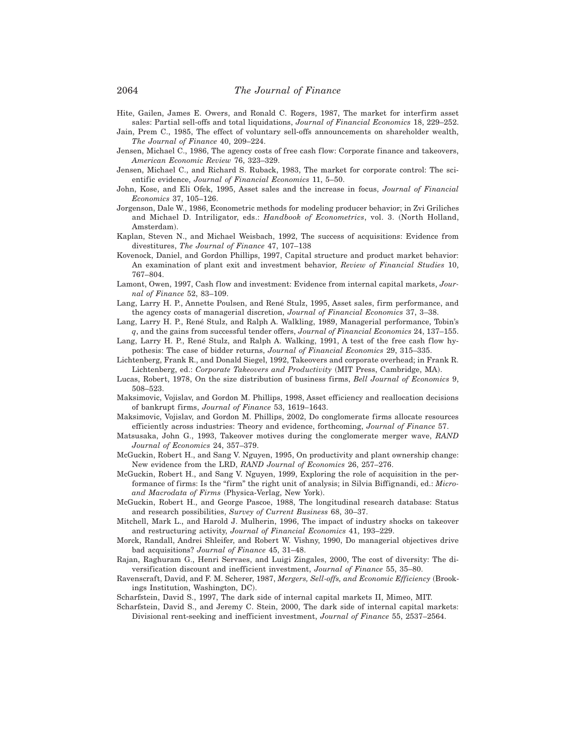- Hite, Gailen, James E. Owers, and Ronald C. Rogers, 1987, The market for interfirm asset sales: Partial sell-offs and total liquidations, *Journal of Financial Economics* 18, 229–252.
- Jain, Prem C., 1985, The effect of voluntary sell-offs announcements on shareholder wealth, *The Journal of Finance* 40, 209–224.
- Jensen, Michael C., 1986, The agency costs of free cash flow: Corporate finance and takeovers, *American Economic Review* 76, 323–329.
- Jensen, Michael C., and Richard S. Ruback, 1983, The market for corporate control: The scientific evidence, *Journal of Financial Economics* 11, 5–50.
- John, Kose, and Eli Ofek, 1995, Asset sales and the increase in focus, *Journal of Financial Economics* 37, 105–126.
- Jorgenson, Dale W., 1986, Econometric methods for modeling producer behavior; in Zvi Griliches and Michael D. Intriligator, eds.: *Handbook of Econometrics*, vol. 3. (North Holland, Amsterdam).
- Kaplan, Steven N., and Michael Weisbach, 1992, The success of acquisitions: Evidence from divestitures, *The Journal of Finance* 47, 107–138
- Kovenock, Daniel, and Gordon Phillips, 1997, Capital structure and product market behavior: An examination of plant exit and investment behavior, *Review of Financial Studies* 10, 767–804.
- Lamont, Owen, 1997, Cash flow and investment: Evidence from internal capital markets, *Journal of Finance* 52, 83–109.
- Lang, Larry H. P., Annette Poulsen, and René Stulz, 1995, Asset sales, firm performance, and the agency costs of managerial discretion, *Journal of Financial Economics* 37, 3–38.
- Lang, Larry H. P., René Stulz, and Ralph A. Walkling, 1989, Managerial performance, Tobin's *q*, and the gains from successful tender offers, *Journal of Financial Economics* 24, 137–155.
- Lang, Larry H. P., René Stulz, and Ralph A. Walking, 1991, A test of the free cash flow hypothesis: The case of bidder returns, *Journal of Financial Economics* 29, 315–335.
- Lichtenberg, Frank R., and Donald Siegel, 1992, Takeovers and corporate overhead; in Frank R. Lichtenberg, ed.: *Corporate Takeovers and Productivity* (MIT Press, Cambridge, MA).
- Lucas, Robert, 1978, On the size distribution of business firms, *Bell Journal of Economics* 9, 508–523.
- Maksimovic, Vojislav, and Gordon M. Phillips, 1998, Asset efficiency and reallocation decisions of bankrupt firms, *Journal of Finance* 53, 1619–1643.
- Maksimovic, Vojislav, and Gordon M. Phillips, 2002, Do conglomerate firms allocate resources efficiently across industries: Theory and evidence, forthcoming, *Journal of Finance* 57.
- Matsusaka, John G., 1993, Takeover motives during the conglomerate merger wave, *RAND Journal of Economics* 24, 357–379.
- McGuckin, Robert H., and Sang V. Nguyen, 1995, On productivity and plant ownership change: New evidence from the LRD, *RAND Journal of Economics* 26, 257–276.
- McGuckin, Robert H., and Sang V. Nguyen, 1999, Exploring the role of acquisition in the performance of firms: Is the "firm" the right unit of analysis; in Silvia Biffignandi, ed.: *Micro*and Macrodata of Firms (Physica-Verlag, New York).
- McGuckin, Robert H., and George Pascoe, 1988, The longitudinal research database: Status and research possibilities, *Survey of Current Business* 68, 30–37.
- Mitchell, Mark L., and Harold J. Mulherin, 1996, The impact of industry shocks on takeover and restructuring activity, *Journal of Financial Economics* 41, 193–229.
- Morck, Randall, Andrei Shleifer, and Robert W. Vishny, 1990, Do managerial objectives drive bad acquisitions? *Journal of Finance* 45, 31–48.
- Rajan, Raghuram G., Henri Servaes, and Luigi Zingales, 2000, The cost of diversity: The diversification discount and inefficient investment, *Journal of Finance* 55, 35–80.
- Ravenscraft, David, and F. M. Scherer, 1987, Mergers, Sell-offs, and Economic Efficiency (Brookings Institution, Washington, DC).
- Scharfstein, David S., 1997, The dark side of internal capital markets II, Mimeo, MIT.
- Scharfstein, David S., and Jeremy C. Stein, 2000, The dark side of internal capital markets: Divisional rent-seeking and inefficient investment, *Journal of Finance* 55, 2537–2564.